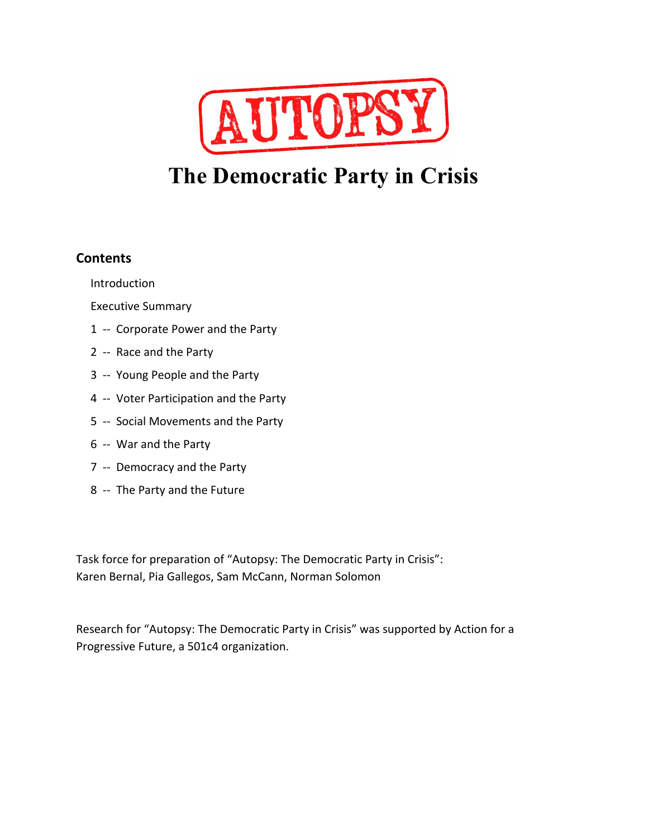

# **The Democratic Party in Crisis**

## **Contents**

Introduction

Executive Summary

- 1 -- Corporate Power and the Party
- 2 -- Race and the Party
- 3 -- Young People and the Party
- 4 -- Voter Participation and the Party
- 5 -- Social Movements and the Party
- 6 -- War and the Party
- 7 -- Democracy and the Party
- 8 -- The Party and the Future

Task force for preparation of "Autopsy: The Democratic Party in Crisis": Karen Bernal, Pia Gallegos, Sam McCann, Norman Solomon

Research for "Autopsy: The Democratic Party in Crisis" was supported by Action for a Progressive Future, a 501c4 organization.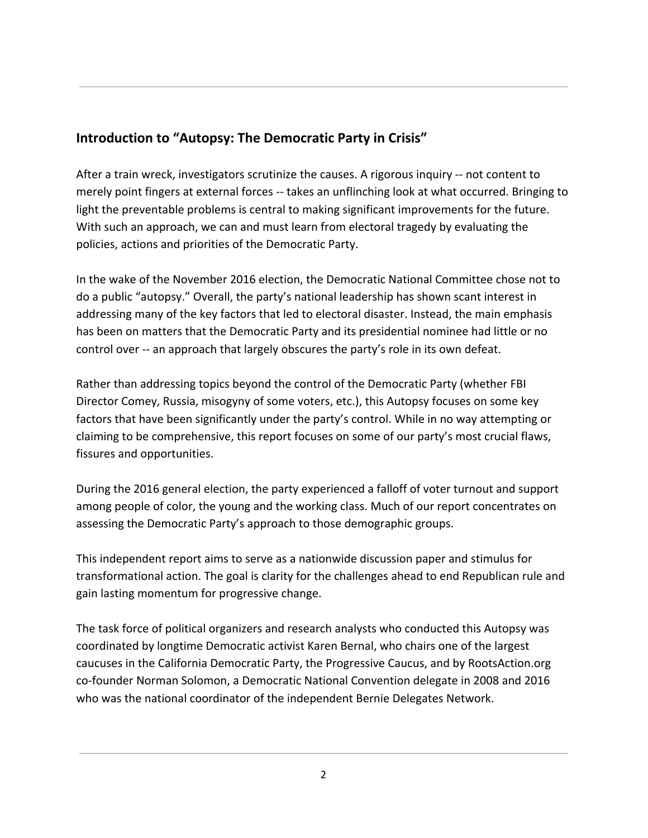# **Introduction to "Autopsy: The Democratic Party in Crisis"**

After a train wreck, investigators scrutinize the causes. A rigorous inquiry -- not content to merely point fingers at external forces -- takes an unflinching look at what occurred. Bringing to light the preventable problems is central to making significant improvements for the future. With such an approach, we can and must learn from electoral tragedy by evaluating the policies, actions and priorities of the Democratic Party.

In the wake of the November 2016 election, the Democratic National Committee chose not to do a public "autopsy." Overall, the party's national leadership has shown scant interest in addressing many of the key factors that led to electoral disaster. Instead, the main emphasis has been on matters that the Democratic Party and its presidential nominee had little or no control over -- an approach that largely obscures the party's role in its own defeat.

Rather than addressing topics beyond the control of the Democratic Party (whether FBI Director Comey, Russia, misogyny of some voters, etc.), this Autopsy focuses on some key factors that have been significantly under the party's control. While in no way attempting or claiming to be comprehensive, this report focuses on some of our party's most crucial flaws, fissures and opportunities.

During the 2016 general election, the party experienced a falloff of voter turnout and support among people of color, the young and the working class. Much of our report concentrates on assessing the Democratic Party's approach to those demographic groups.

This independent report aims to serve as a nationwide discussion paper and stimulus for transformational action. The goal is clarity for the challenges ahead to end Republican rule and gain lasting momentum for progressive change.

The task force of political organizers and research analysts who conducted this Autopsy was coordinated by longtime Democratic activist Karen Bernal, who chairs one of the largest caucuses in the California Democratic Party, the Progressive Caucus, and by RootsAction.org co-founder Norman Solomon, a Democratic National Convention delegate in 2008 and 2016 who was the national coordinator of the independent Bernie Delegates Network.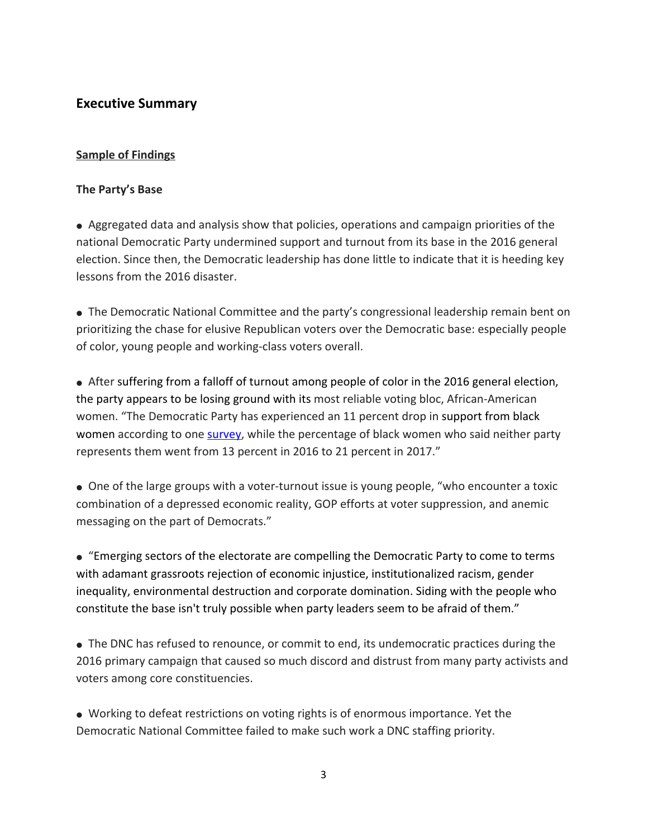## **Executive Summary**

#### **Sample of Findings**

#### **The Party's Base**

● Aggregated data and analysis show that policies, operations and campaign priorities of the national Democratic Party undermined support and turnout from its base in the 2016 general election. Since then, the Democratic leadership has done little to indicate that it is heeding key lessons from the 2016 disaster.

● The Democratic National Committee and the party's congressional leadership remain bent on prioritizing the chase for elusive Republican voters over the Democratic base: especially people of color, young people and working-class voters overall.

• After suffering from a falloff of turnout among people of color in the 2016 general election, the party appears to be losing ground with its most reliable voting bloc, African-American women. "The Democratic Party has experienced an 11 percent drop in support from black women according to one [survey,](http://www.ncbcp.org/assets/2017BWR.ESSENCEPOSVPollFindingsFINAL9.20.17.pdf) while the percentage of black women who said neither party represents them went from 13 percent in 2016 to 21 percent in 2017."

● One of the large groups with a voter-turnout issue is young people, "who encounter a toxic combination of a depressed economic reality, GOP efforts at voter suppression, and anemic messaging on the part of Democrats."

● "Emerging sectors of the electorate are compelling the Democratic Party to come to terms with adamant grassroots rejection of economic injustice, institutionalized racism, gender inequality, environmental destruction and corporate domination. Siding with the people who constitute the base isn't truly possible when party leaders seem to be afraid of them."

• The DNC has refused to renounce, or commit to end, its undemocratic practices during the 2016 primary campaign that caused so much discord and distrust from many party activists and voters among core constituencies.

● Working to defeat restrictions on voting rights is of enormous importance. Yet the Democratic National Committee failed to make such work a DNC staffing priority.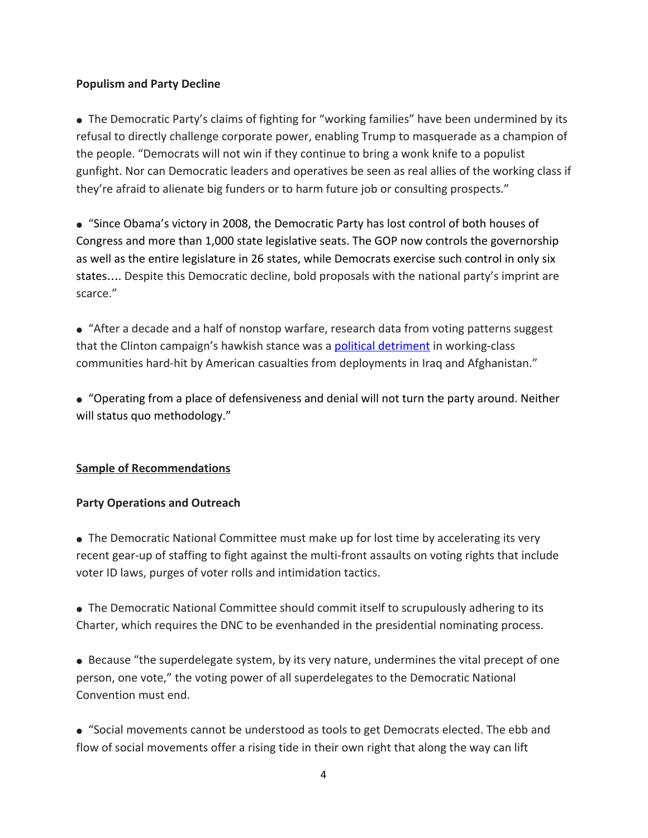#### **Populism and Party Decline**

• The Democratic Party's claims of fighting for "working families" have been undermined by its refusal to directly challenge corporate power, enabling Trump to masquerade as a champion of the people. "Democrats will not win if they continue to bring a wonk knife to a populist gunfight. Nor can Democratic leaders and operatives be seen as real allies of the working class if they're afraid to alienate big funders or to harm future job or consulting prospects."

● "Since Obama's victory in 2008, the Democratic Party has lost control of both houses of Congress and more than 1,000 state legislative seats. The GOP now controls the governorship as well as the entire legislature in 26 states, while Democrats exercise such control in only six states…. Despite this Democratic decline, bold proposals with the national party's imprint are scarce."

● "After a decade and a half of nonstop warfare, research data from voting patterns suggest that the Clinton campaign's hawkish stance was a political [detriment](https://www.thenation.com/article/new-study-communities-most-affected-by-war-turned-to-trump-in-2016/) in working-class communities hard-hit by American casualties from deployments in Iraq and Afghanistan."

● "Operating from a place of defensiveness and denial will not turn the party around. Neither will status quo methodology."

#### **Sample of Recommendations**

#### **Party Operations and Outreach**

• The Democratic National Committee must make up for lost time by accelerating its very recent gear-up of staffing to fight against the multi-front assaults on voting rights that include voter ID laws, purges of voter rolls and intimidation tactics.

• The Democratic National Committee should commit itself to scrupulously adhering to its Charter, which requires the DNC to be evenhanded in the presidential nominating process.

● Because "the superdelegate system, by its very nature, undermines the vital precept of one person, one vote," the voting power of all superdelegates to the Democratic National Convention must end.

● "Social movements cannot be understood as tools to get Democrats elected. The ebb and flow of social movements offer a rising tide in their own right that along the way can lift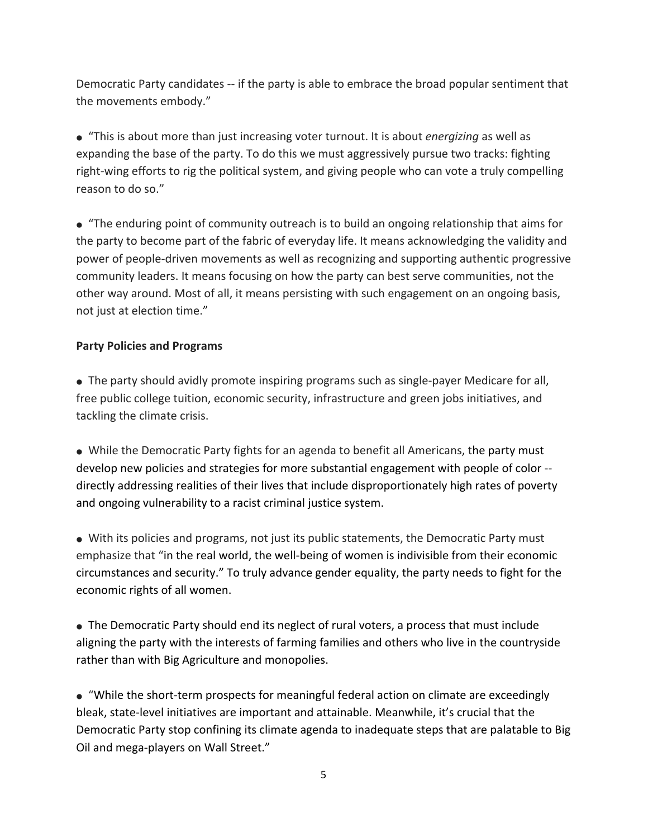Democratic Party candidates -- if the party is able to embrace the broad popular sentiment that the movements embody."

● "This is about more than just increasing voter turnout. It is about *energizing* as well as expanding the base of the party. To do this we must aggressively pursue two tracks: fighting right-wing efforts to rig the political system, and giving people who can vote a truly compelling reason to do so."

● "The enduring point of community outreach is to build an ongoing relationship that aims for the party to become part of the fabric of everyday life. It means acknowledging the validity and power of people-driven movements as well as recognizing and supporting authentic progressive community leaders. It means focusing on how the party can best serve communities, not the other way around. Most of all, it means persisting with such engagement on an ongoing basis, not just at election time."

### **Party Policies and Programs**

● The party should avidly promote inspiring programs such as single-payer Medicare for all, free public college tuition, economic security, infrastructure and green jobs initiatives, and tackling the climate crisis.

● While the Democratic Party fights for an agenda to benefit all Americans, the party must develop new policies and strategies for more substantial engagement with people of color - directly addressing realities of their lives that include disproportionately high rates of poverty and ongoing vulnerability to a racist criminal justice system.

● With its policies and programs, not just its public statements, the Democratic Party must emphasize that "in the real world, the well-being of women is indivisible from their economic circumstances and security." To truly advance gender equality, the party needs to fight for the economic rights of all women.

● The Democratic Party should end its neglect of rural voters, a process that must include aligning the party with the interests of farming families and others who live in the countryside rather than with Big Agriculture and monopolies.

● "While the short-term prospects for meaningful federal action on climate are exceedingly bleak, state-level initiatives are important and attainable. Meanwhile, it's crucial that the Democratic Party stop confining its climate agenda to inadequate steps that are palatable to Big Oil and mega-players on Wall Street."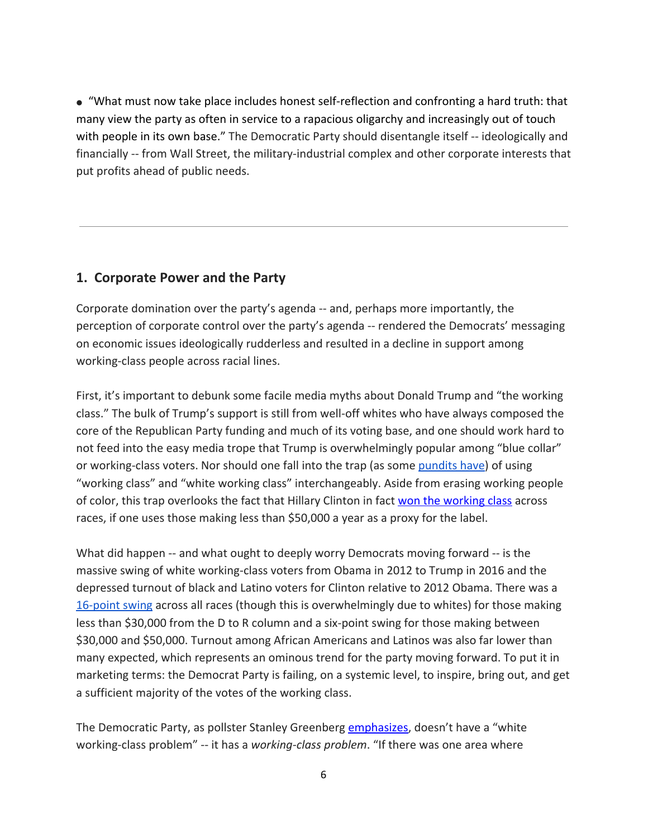● "What must now take place includes honest self-reflection and confronting a hard truth: that many view the party as often in service to a rapacious oligarchy and increasingly out of touch with people in its own base." The Democratic Party should disentangle itself -- ideologically and financially -- from Wall Street, the military-industrial complex and other corporate interests that put profits ahead of public needs.

## **1. Corporate Power and the Party**

Corporate domination over the party's agenda -- and, perhaps more importantly, the perception of corporate control over the party's agenda -- rendered the Democrats' messaging on economic issues ideologically rudderless and resulted in a decline in support among working-class people across racial lines.

First, it's important to debunk some facile media myths about Donald Trump and "the working class." The bulk of Trump's support is still from well-off whites who have always composed the core of the Republican Party funding and much of its voting base, and one should work hard to not feed into the easy media trope that Trump is overwhelmingly popular among "blue collar" or working-class voters. Nor should one fall into the trap (as some [pundits](http://nypost.com/2017/05/13/why-working-class-america-voted-with-their-middle-finger/) have) of using "working class" and "white working class" interchangeably. Aside from erasing working people of color, this trap overlooks the fact that Hillary Clinton in fact won the [working](https://www.nytimes.com/interactive/2016/11/08/us/politics/election-exit-polls.html?mcubz=3%7d&_r=0) class across races, if one uses those making less than \$50,000 a year as a proxy for the label.

What did happen -- and what ought to deeply worry Democrats moving forward -- is the massive swing of white working-class voters from Obama in 2012 to Trump in 2016 and the depressed turnout of black and Latino voters for Clinton relative to 2012 Obama. There was a [16-point](https://www.nytimes.com/interactive/2016/11/08/us/politics/election-exit-polls.html?mcubz=3) swing across all races (though this is overwhelmingly due to whites) for those making less than \$30,000 from the D to R column and a six-point swing for those making between \$30,000 and \$50,000. Turnout among African Americans and Latinos was also far lower than many expected, which represents an ominous trend for the party moving forward. To put it in marketing terms: the Democrat Party is failing, on a systemic level, to inspire, bring out, and get a sufficient majority of the votes of the working class.

The Democratic Party, as pollster Stanley Greenberg [emphasizes,](http://prospect.org/article/democrats%E2%80%99-%E2%80%98working-class-problem%E2%80%99) doesn't have a "white working-class problem" -- it has a *working-class problem*. "If there was one area where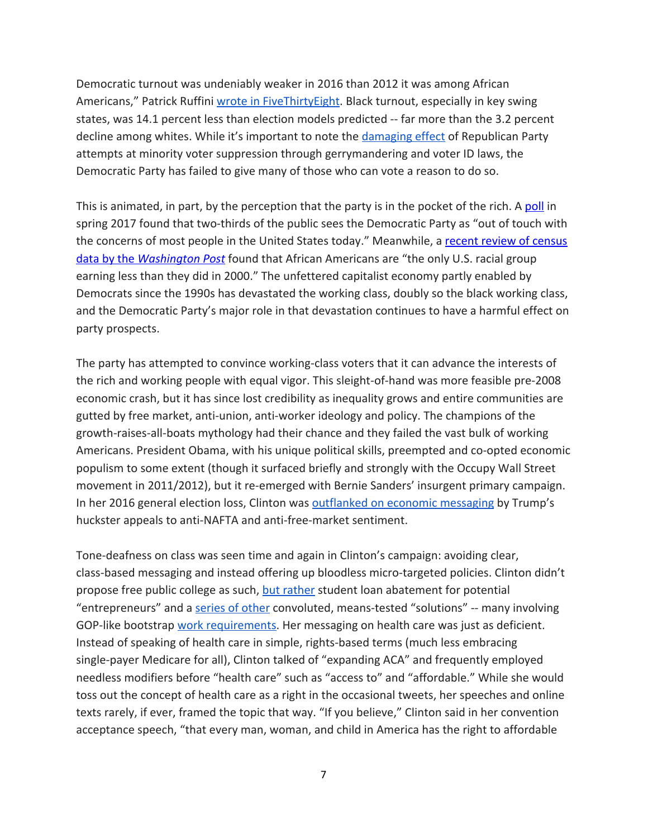Democratic turnout was undeniably weaker in 2016 than 2012 it was among African Americans," Patrick Ruffini wrote in [FiveThirtyEight](https://fivethirtyeight.com/features/black-voters-arent-turning-out-for-the-post-obama-democratic-party/). Black turnout, especially in key swing states, was 14.1 percent less than election models predicted -- far more than the 3.2 percent decline among whites. While it's important to note the [damaging](http://www.motherjones.com/politics/2017/10/voter-suppression-wisconsin-election-2016/) effect of Republican Party attempts at minority voter suppression through gerrymandering and voter ID laws, the Democratic Party has failed to give many of those who can vote a reason to do so.

This is animated, in part, by the perception that the party is in the pocket of the rich. A [poll](https://www.washingtonpost.com/page/2010-2019/WashingtonPost/2017/04/23/National-Politics/Polling/question_18638.xml?uuid=Jv7dmifZEeeSjjYkU5Bg6A) in spring 2017 found that two-thirds of the public sees the Democratic Party as "out of touch with the concerns of most people in the United States today." Meanwhile, a recent review of [census](https://www.washingtonpost.com/news/wonk/wp/2017/09/15/african-americans-are-the-only-racial-group-in-u-s-still-making-less-than-they-did-in-2000/?utm_term=.4cfc6c4c1244) [data](https://www.washingtonpost.com/news/wonk/wp/2017/09/15/african-americans-are-the-only-racial-group-in-u-s-still-making-less-than-they-did-in-2000/?utm_term=.4cfc6c4c1244) by the *[Washington](https://www.washingtonpost.com/news/wonk/wp/2017/09/15/african-americans-are-the-only-racial-group-in-u-s-still-making-less-than-they-did-in-2000/?utm_term=.4cfc6c4c1244) Post* found that African Americans are "the only U.S. racial group earning less than they did in 2000." The unfettered capitalist economy partly enabled by Democrats since the 1990s has devastated the working class, doubly so the black working class, and the Democratic Party's major role in that devastation continues to have a harmful effect on party prospects.

The party has attempted to convince working-class voters that it can advance the interests of the rich and working people with equal vigor. This sleight-of-hand was more feasible pre-2008 economic crash, but it has since lost credibility as inequality grows and entire communities are gutted by free market, anti-union, anti-worker ideology and policy. The champions of the growth-raises-all-boats mythology had their chance and they failed the vast bulk of working Americans. President Obama, with his unique political skills, preempted and co-opted economic populism to some extent (though it surfaced briefly and strongly with the Occupy Wall Street movement in 2011/2012), but it re-emerged with Bernie Sanders' insurgent primary campaign. In her 2016 general election loss, Clinton was [outflanked](https://www.washingtonpost.com/blogs/plum-line/wp/2017/05/01/why-did-trump-win-new-research-by-democrats-offers-a-worrisome-answer/?utm_term=.29e62f753cf8) on economic messaging by Trump's huckster appeals to anti-NAFTA and anti-free-market sentiment.

Tone-deafness on class was seen time and again in Clinton's campaign: avoiding clear, class-based messaging and instead offering up bloodless micro-targeted policies. Clinton didn't propose free public college as such, but [rather](http://www.marketwatch.com/story/clinton-wants-to-help-young-entrepreneurs-with-their-student-loans-2016-06-28) student loan abatement for potential "entrepreneurs" and a [series](http://money.cnn.com/2016/08/11/pf/college/hillary-clinton-college-plan/index.html) of other convoluted, means-tested "solutions" -- many involving GOP-like bootstrap work [requirements](https://www.usnews.com/opinion/articles/2016-09-13/hillary-clintons-free-college-isnt-better-with-student-work-requirements). Her messaging on health care was just as deficient. Instead of speaking of health care in simple, rights-based terms (much less embracing single-payer Medicare for all), Clinton talked of "expanding ACA" and frequently employed needless modifiers before "health care" such as "access to" and "affordable." While she would toss out the concept of health care as a right in the occasional tweets, her speeches and online texts rarely, if ever, framed the topic that way. "If you believe," Clinton said in her convention acceptance speech, "that every man, woman, and child in America has the right to affordable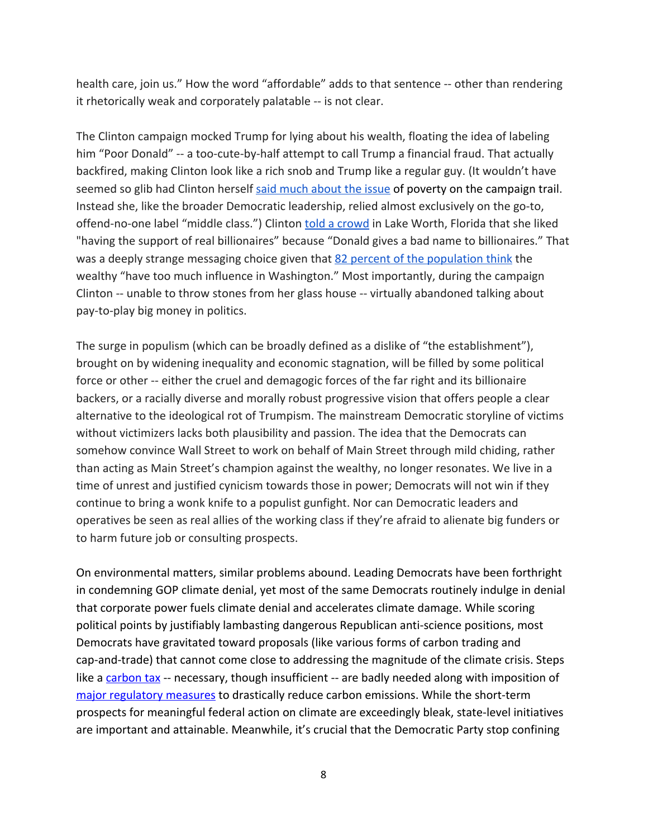health care, join us." How the word "affordable" adds to that sentence -- other than rendering it rhetorically weak and corporately palatable -- is not clear.

The Clinton campaign mocked Trump for lying about his wealth, floating the idea of labeling him "Poor Donald" -- a too-cute-by-half attempt to call Trump a financial fraud. That actually backfired, making Clinton look like a rich snob and Trump like a regular guy. (It wouldn't have seemed so glib had Clinton herself said much [about](https://www.nytimes.com/2016/08/12/us/politics/trump-clinton-poverty.html) the issue of poverty on the campaign trail. Instead she, like the broader Democratic leadership, relied almost exclusively on the go-to, offend-no-one label "middle class.") Clinton told a [crowd](https://twitter.com/danmericaCNN/status/791315326042533889) in Lake Worth, Florida that she liked "having the support of real billionaires" because "Donald gives a bad name to billionaires." That was a deeply strange messaging choice given that 82 percent of the [population](https://www.commondreams.org/news/2017/07/13/can-you-say-oligarchy-75-americans-think-wealthiest-have-too-much-power) think the wealthy "have too much influence in Washington." Most importantly, during the campaign Clinton -- unable to throw stones from her glass house -- virtually abandoned talking about pay-to-play big money in politics.

The surge in populism (which can be broadly defined as a dislike of "the establishment"), brought on by widening inequality and economic stagnation, will be filled by some political force or other -- either the cruel and demagogic forces of the far right and its billionaire backers, or a racially diverse and morally robust progressive vision that offers people a clear alternative to the ideological rot of Trumpism. The mainstream Democratic storyline of victims without victimizers lacks both plausibility and passion. The idea that the Democrats can somehow convince Wall Street to work on behalf of Main Street through mild chiding, rather than acting as Main Street's champion against the wealthy, no longer resonates. We live in a time of unrest and justified cynicism towards those in power; Democrats will not win if they continue to bring a wonk knife to a populist gunfight. Nor can Democratic leaders and operatives be seen as real allies of the working class if they're afraid to alienate big funders or to harm future job or consulting prospects.

On environmental matters, similar problems abound. Leading Democrats have been forthright in condemning GOP climate denial, yet most of the same Democrats routinely indulge in denial that corporate power fuels climate denial and accelerates climate damage. While scoring political points by justifiably lambasting dangerous Republican anti-science positions, most Democrats have gravitated toward proposals (like various forms of carbon trading and cap-and-trade) that cannot come close to addressing the magnitude of the climate crisis. Steps like a [carbon](https://www.carbontax.org/blog/2016/06/29/last-weeks-democratic-platform-vote-was-a-win-for-carbon-taxes/) tax -- necessary, though insufficient -- are badly needed along with imposition of major [regulatory](https://e360.yale.edu/features/why_we_need_a_carbon_tax_and_why_it_won_be_enough) measures to drastically reduce carbon emissions. While the short-term prospects for meaningful federal action on climate are exceedingly bleak, state-level initiatives are important and attainable. Meanwhile, it's crucial that the Democratic Party stop confining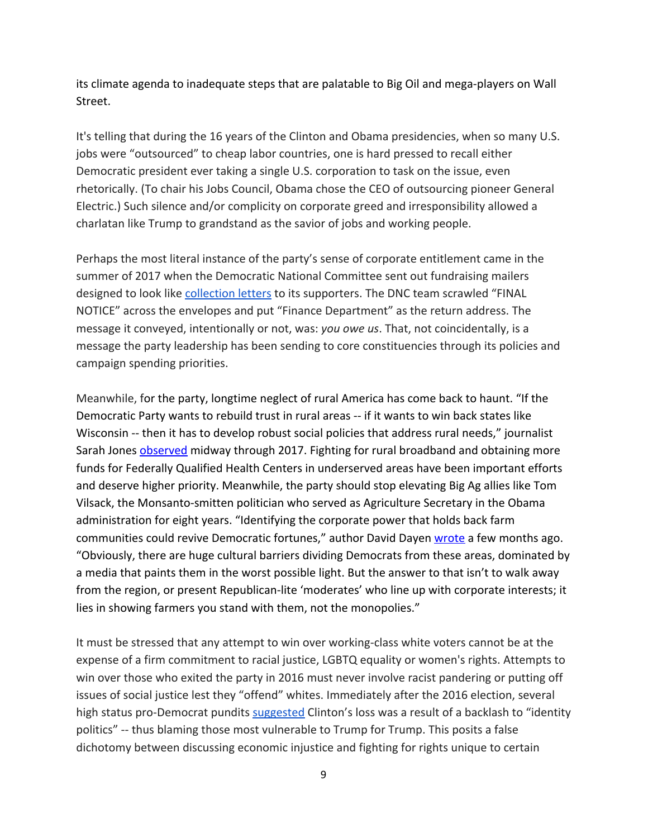its climate agenda to inadequate steps that are palatable to Big Oil and mega-players on Wall Street.

It's telling that during the 16 years of the Clinton and Obama presidencies, when so many U.S. jobs were "outsourced" to cheap labor countries, one is hard pressed to recall either Democratic president ever taking a single U.S. corporation to task on the issue, even rhetorically. (To chair his Jobs Council, Obama chose the CEO of outsourcing pioneer General Electric.) Such silence and/or complicity on corporate greed and irresponsibility allowed a charlatan like Trump to grandstand as the savior of jobs and working people.

Perhaps the most literal instance of the party's sense of corporate entitlement came in the summer of 2017 when the Democratic National Committee sent out fundraising mailers designed to look like [collection](https://www.pastemagazine.com/articles/2017/08/why-are-the-dems-sending-collection-letters-to-don.html) letters to its supporters. The DNC team scrawled "FINAL NOTICE" across the envelopes and put "Finance Department" as the return address. The message it conveyed, intentionally or not, was: *you owe us*. That, not coincidentally, is a message the party leadership has been sending to core constituencies through its policies and campaign spending priorities.

Meanwhile, for the party, longtime neglect of rural America has come back to haunt. "If the Democratic Party wants to rebuild trust in rural areas -- if it wants to win back states like Wisconsin -- then it has to develop robust social policies that address rural needs," journalist Sarah Jones **[observed](https://www.thenation.com/article/the-lefts-opportunity-in-wisconsin/)** midway through 2017. Fighting for rural broadband and obtaining more funds for Federally Qualified Health Centers in underserved areas have been important efforts and deserve higher priority. Meanwhile, the party should stop elevating Big Ag allies like Tom Vilsack, the Monsanto-smitten politician who served as Agriculture Secretary in the Obama administration for eight years. "Identifying the corporate power that holds back farm communities could revive Democratic fortunes," author David Dayen [wrote](https://www.thenation.com/article/democrats-can-win-rural-voters-by-taking-on-big-agriculture/) a few months ago. "Obviously, there are huge cultural barriers dividing Democrats from these areas, dominated by a media that paints them in the worst possible light. But the answer to that isn't to walk away from the region, or present Republican-lite 'moderates' who line up with corporate interests; it lies in showing farmers you stand with them, not the monopolies."

It must be stressed that any attempt to win over working-class white voters cannot be at the expense of a firm commitment to racial justice, LGBTQ equality or women's rights. Attempts to win over those who exited the party in 2016 must never involve racist pandering or putting off issues of social justice lest they "offend" whites. Immediately after the 2016 election, several high status pro-Democrat pundits [suggested](https://qz.com/842675/donald-trump-did-not-beat-hillary-clinton-because-of-identity-politics/) Clinton's loss was a result of a backlash to "identity politics" -- thus blaming those most vulnerable to Trump for Trump. This posits a false dichotomy between discussing economic injustice and fighting for rights unique to certain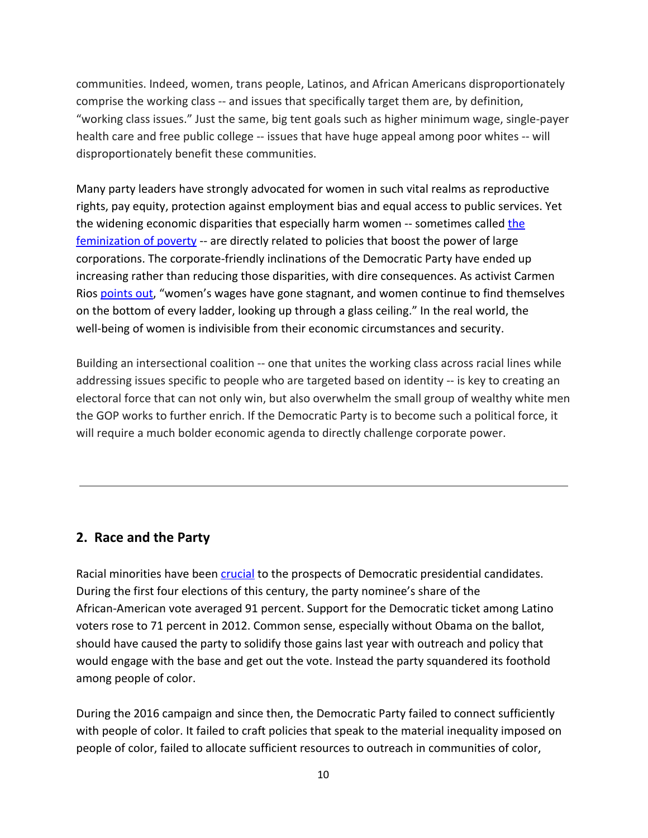communities. Indeed, women, trans people, Latinos, and African Americans disproportionately comprise the working class -- and issues that specifically target them are, by definition, "working class issues." Just the same, big tent goals such as higher minimum wage, single-payer health care and free public college -- issues that have huge appeal among poor whites -- will disproportionately benefit these communities.

Many party leaders have strongly advocated for women in such vital realms as reproductive rights, pay equity, protection against employment bias and equal access to public services. Yet [the](http://www.yesmagazine.org/commonomics/the-feminization-of-poverty) widening economic disparities that especially harm women -- sometimes called the [feminization](http://www.yesmagazine.org/commonomics/the-feminization-of-poverty) of poverty -- are directly related to policies that boost the power of large corporations. The corporate-friendly inclinations of the Democratic Party have ended up increasing rather than reducing those disparities, with dire consequences. As activist Carmen Rios [points](https://everydayfeminism.com/2015/06/feminizing-poverty/) out, "women's wages have gone stagnant, and women continue to find themselves on the bottom of every ladder, looking up through a glass ceiling." In the real world, the well-being of women is indivisible from their economic circumstances and security.

Building an intersectional coalition -- one that unites the working class across racial lines while addressing issues specific to people who are targeted based on identity -- is key to creating an electoral force that can not only win, but also overwhelm the small group of wealthy white men the GOP works to further enrich. If the Democratic Party is to become such a political force, it will require a much bolder economic agenda to directly challenge corporate power.

#### **2. Race and the Party**

Racial minorities have been [crucial](https://ropercenter.cornell.edu/polls/us-elections/how-groups-voted/) to the prospects of Democratic presidential candidates. During the first four elections of this century, the party nominee's share of the African-American vote averaged 91 percent. Support for the Democratic ticket among Latino voters rose to 71 percent in 2012. Common sense, especially without Obama on the ballot, should have caused the party to solidify those gains last year with outreach and policy that would engage with the base and get out the vote. Instead the party squandered its foothold among people of color.

During the 2016 campaign and since then, the Democratic Party failed to connect sufficiently with people of color. It failed to craft policies that speak to the material inequality imposed on people of color, failed to allocate sufficient resources to outreach in communities of color,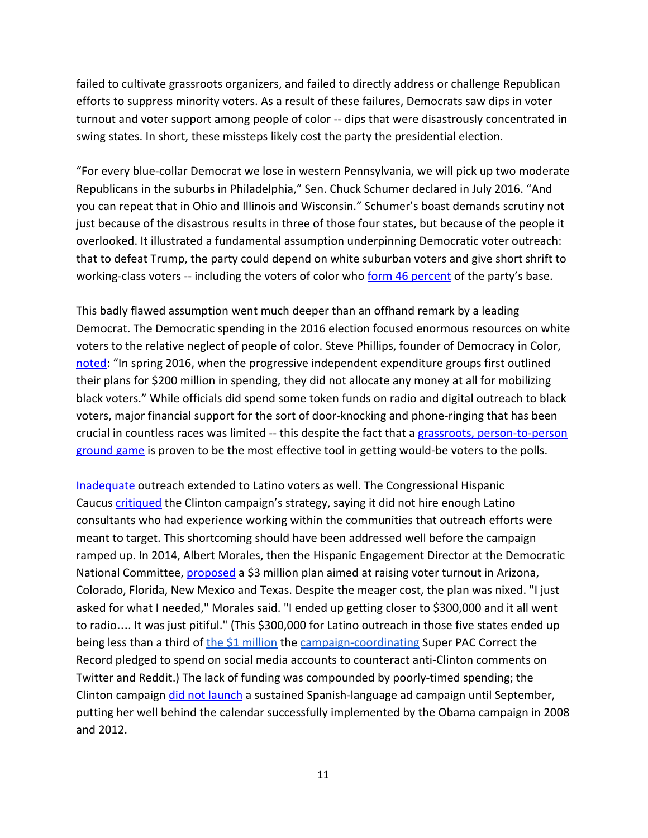failed to cultivate grassroots organizers, and failed to directly address or challenge Republican efforts to suppress minority voters. As a result of these failures, Democrats saw dips in voter turnout and voter support among people of color -- dips that were disastrously concentrated in swing states. In short, these missteps likely cost the party the presidential election.

"For every blue-collar Democrat we lose in western Pennsylvania, we will pick up two moderate Republicans in the suburbs in Philadelphia," Sen. Chuck Schumer declared in July 2016. "And you can repeat that in Ohio and Illinois and Wisconsin." Schumer's boast demands scrutiny not just because of the disastrous results in three of those four states, but because of the people it overlooked. It illustrated a fundamental assumption underpinning Democratic voter outreach: that to defeat Trump, the party could depend on white suburban voters and give short shrift to working-class voters -- including the voters of color who form 46 [percent](http://thehill.com/blogs/pundits-blog/national-party-news/345056-democrats-new-better-deal-comes-up-short-for-people-of) of the party's base.

This badly flawed assumption went much deeper than an offhand remark by a leading Democrat. The Democratic spending in the 2016 election focused enormous resources on white voters to the relative neglect of people of color. Steve Phillips, founder of Democracy in Color, [noted:](https://www.nytimes.com/2017/07/20/opinion/democrats-midterm-elections-black-voters.html?mcubz=1&_r=0) "In spring 2016, when the progressive independent expenditure groups first outlined their plans for \$200 million in spending, they did not allocate any money at all for mobilizing black voters." While officials did spend some token funds on radio and digital outreach to black voters, major financial support for the sort of door-knocking and phone-ringing that has been crucial in countless races was limited -- this despite the fact that a grassroots, [person-to-person](https://www.vox.com/2014/11/13/7214339/campaign-ground-game) [ground](https://www.vox.com/2014/11/13/7214339/campaign-ground-game) game is proven to be the most effective tool in getting would-be voters to the polls.

[Inadequate](http://www.salon.com/2016/08/08/swinging-the-senate-blue-may-hinge-on-latino-voters-why-more-action-to-mobilize-these-voters-is-necessary_partner/) outreach extended to Latino voters as well. The Congressional Hispanic Caucus [critiqued](http://thehill.com/latino/297515-hispanic-dems-disappointed-with-partys-latino-outreach) the Clinton campaign's strategy, saying it did not hire enough Latino consultants who had experience working within the communities that outreach efforts were meant to target. This shortcoming should have been addressed well before the campaign ramped up. In 2014, Albert Morales, then the Hispanic Engagement Director at the Democratic National Committee, **[proposed](http://www.huffingtonpost.com/entry/democrats-latino-turnout_us_5826579ee4b060adb56e8fbd)** a \$3 million plan aimed at raising voter turnout in Arizona, Colorado, Florida, New Mexico and Texas. Despite the meager cost, the plan was nixed. "I just asked for what I needed," Morales said. "I ended up getting closer to \$300,000 and it all went to radio…. It was just pitiful." (This \$300,000 for Latino outreach in those five states ended up being less than a third of the \$1 [million](http://www.businessinsider.com/clinton-pac-spends-1-million-to-correct-people-online-2016-4) the [campaign-coordinating](https://www.washingtonpost.com/news/post-politics/wp/2015/05/12/how-a-super-pac-plans-to-coordinate-directly-with-hillary-clintons-campaign/) Super PAC Correct the Record pledged to spend on social media accounts to counteract anti-Clinton comments on Twitter and Reddit.) The lack of funding was compounded by poorly-timed spending; the Clinton campaign *did not [launch](https://www.washingtonpost.com/politics/among-democrats-deep-concern-about-clintons-hispanic-strategy/2016/09/18/38d3b99a-7c54-11e6-bd86-b7bbd53d2b5d_story.html?utm_term=.e39d0d7dd9bf)* a sustained Spanish-language ad campaign until September, putting her well behind the calendar successfully implemented by the Obama campaign in 2008 and 2012.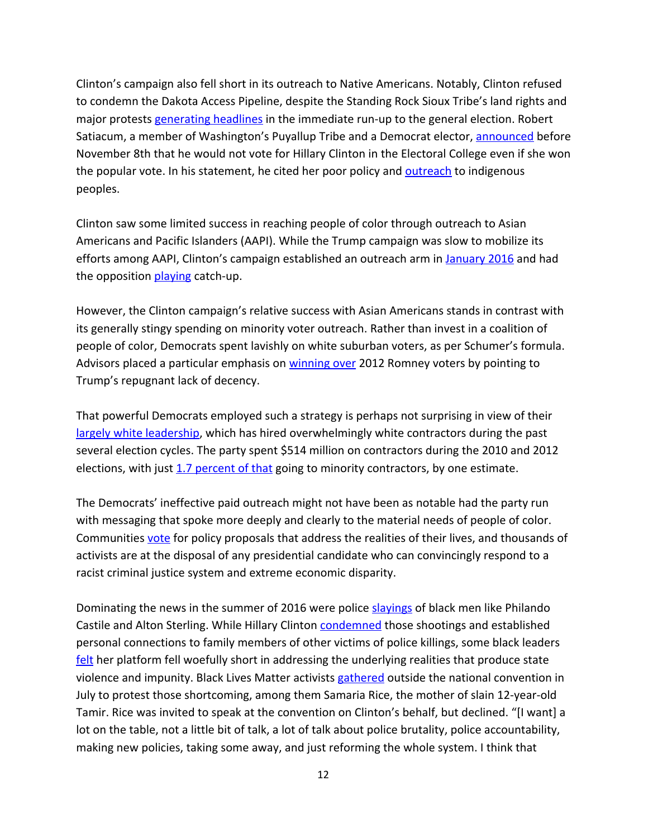Clinton's campaign also fell short in its outreach to Native Americans. Notably, Clinton refused to condemn the Dakota Access Pipeline, despite the Standing Rock Sioux Tribe's land rights and major protests [generating](https://www.nytimes.com/2016/10/29/us/dakota-access-pipeline-protest.html) headlines in the immediate run-up to the general election. Robert Satiacum, a member of Washington's Puyallup Tribe and a Democrat elector, [announced](https://apnews.com/d3a1c10593c44da58bb611ef09101214/washington-state-elector-says-he-wont-vote-clinton) before November 8th that he would not vote for Hillary Clinton in the Electoral College even if she won the popular vote. In his statement, he cited her poor policy and **[outreach](https://indiancountrymedianetwork.com/culture/thing-about-skins/the-only-presidential-candidate-that-makes-indian-country-a-priority-native-people-feeling-the-bern/)** to indigenous peoples.

Clinton saw some limited success in reaching people of color through outreach to Asian Americans and Pacific Islanders (AAPI). While the Trump campaign was slow to mobilize its efforts among AAPI, Clinton's campaign established an outreach arm in [January](https://www.nytimes.com/politics/first-draft/2016/01/07/hillary-clinton-to-open-asian-american-outreach-effort-in-california/) 2016 and had the opposition [playing](http://www.washingtonexaminer.com/clinton-kaine-want-to-run-up-the-asian-vote/article/2599263) catch-up.

However, the Clinton campaign's relative success with Asian Americans stands in contrast with its generally stingy spending on minority voter outreach. Rather than invest in a coalition of people of color, Democrats spent lavishly on white suburban voters, as per Schumer's formula. Advisors placed a particular emphasis on [winning](http://time.com/4486321/hillary-clinton-outreach-republican-voters/) over 2012 Romney voters by pointing to Trump's repugnant lack of decency.

That powerful Democrats employed such a strategy is perhaps not surprising in view of their largely white [leadership](http://www.sfchronicle.com/politics/article/Democrats-should-stop-chasing-white-voters-and-10797097.php), which has hired overwhelmingly white contractors during the past several election cycles. The party spent \$514 million on contractors during the 2010 and 2012 elections, with just 1.7 [percent](https://www.usnews.com/news/articles/2016-06-23/black-contractors-democrats-take-us-for-granted) of that going to minority contractors, by one estimate.

The Democrats' ineffective paid outreach might not have been as notable had the party run with messaging that spoke more deeply and clearly to the material needs of people of color. Communities [vote](http://abc7chicago.com/politics/foxx-defeats-alvarez-in-cook-county-states-attorney-primary/1247992/) for policy proposals that address the realities of their lives, and thousands of activists are at the disposal of any presidential candidate who can convincingly respond to a racist criminal justice system and extreme economic disparity.

Dominating the news in the summer of 2016 were police [slayings](http://www.npr.org/sections/codeswitch/2016/07/07/485078670/two-days-two-deaths-the-police-shootings-of-alton-sterling-and-philando-castile) of black men like Philando Castile and Alton Sterling. While Hillary Clinton [condemned](http://www.cnn.com/2016/09/21/politics/hillary-clinton-police-shootings-terence-crutcher-keith-lamont-scott/index.html) those shootings and established personal connections to family members of other victims of police killings, some black leaders [felt](http://www.npr.org/2016/08/19/490622277/between-police-and-black-lives-matter-hillary-clinton-walking-a-fine-line) her platform fell woefully short in addressing the underlying realities that produce state violence and impunity. Black Lives Matter activists [gathered](https://www.telesurtv.net/english/news/Hillary-Delete-Yourself-Black-Lives-Matter-Not-Voting-Clinton-20160727-0033.html) outside the national convention in July to protest those shortcoming, among them Samaria Rice, the mother of slain 12-year-old Tamir. Rice was invited to speak at the convention on Clinton's behalf, but declined. "[I want] a lot on the table, not a little bit of talk, a lot of talk about police brutality, police accountability, making new policies, taking some away, and just reforming the whole system. I think that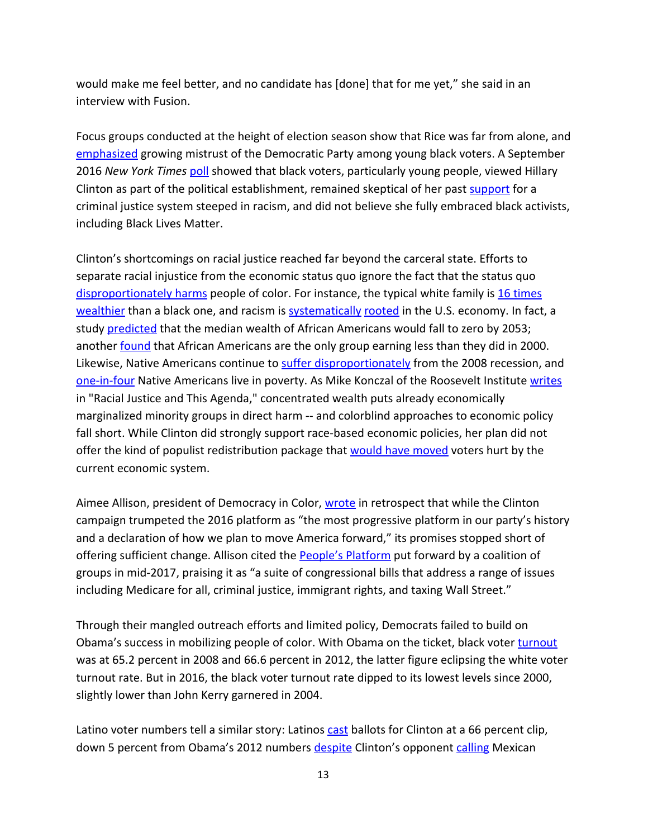would make me feel better, and no candidate has [done] that for me yet," she said in an interview with Fusion.

Focus groups conducted at the height of election season show that Rice was far from alone, and [emphasized](https://www.usnews.com/news/politics/articles/2016-11-09/clinton-made-her-case-to-black-voters-why-didnt-they-hear-her) growing mistrust of the Democratic Party among young black voters. A September 2016 *New York Times* [poll](https://www.nytimes.com/2016/09/05/us/politics/young-blacks-voice-skepticism-on-hillary-clinton-worrying-democrats.html) showed that black voters, particularly young people, viewed Hillary Clinton as part of the political establishment, remained skeptical of her past [support](https://www.thenation.com/article/hillary-clinton-does-not-deserve-black-peoples-votes/) for a criminal justice system steeped in racism, and did not believe she fully embraced black activists, including Black Lives Matter.

Clinton's shortcomings on racial justice reached far beyond the carceral state. Efforts to separate racial injustice from the economic status quo ignore the fact that the status quo [disproportionately](https://talkpoverty.org/2017/09/13/years-poverty-data-look-lot-different-break-race/) harms people of color. For instance, the typical white family is 16 [times](https://www.forbes.com/sites/laurashin/2015/03/26/the-racial-wealth-gap-why-a-typical-white-household-has-16-times-the-wealth-of-a-black-one/) [wealthier](https://www.forbes.com/sites/laurashin/2015/03/26/the-racial-wealth-gap-why-a-typical-white-household-has-16-times-the-wealth-of-a-black-one/) than a black one, and racism is **[systematically](http://nymag.com/daily/intelligencer/2017/09/the-american-economy-isnt-getting-any-less-racist.html) [rooted](http://www.demos.org/sites/default/files/publications/RacialWealthGap_1.pdf)** in the U.S. economy. In fact, a study [predicted](https://www.theguardian.com/inequality/2017/sep/13/median-wealth-of-black-americans-will-fall-to-zero-by-2053-warns-new-report?CMP=twt_gu) that the median wealth of African Americans would fall to zero by 2053; another **[found](http://www.latimes.com/business/la-fi-african-american-income-20170915-story.html)** that African Americans are the only group earning less than they did in 2000. Likewise, Native Americans continue to suffer [disproportionately](https://www.usnews.com/news/articles/2014/11/27/native-americans-left-behind-in-the-economic-recovery) from the 2008 recession, and [one-in-four](http://www.pewresearch.org/fact-tank/2014/06/13/1-in-4-native-americans-and-alaska-natives-are-living-in-poverty/) Native Americans live in poverty. As Mike Konczal of the Roosevelt Institute [writes](http://www.huffingtonpost.com/entry/progressive-economic-policy-racial-injustice_us_57587395e4b0ced23ca6cd96) in "Racial Justice and This Agenda," concentrated wealth puts already economically marginalized minority groups in direct harm -- and colorblind approaches to economic policy fall short. While Clinton did strongly support race-based economic policies, her plan did not offer the kind of populist redistribution package that would have [moved](http://www.huffingtonpost.com/les-leopold/hillarys-wall-st-friendly_b_9416294.html) voters hurt by the current economic system.

Aimee Allison, president of Democracy in Color, [wrote](http://thehill.com/blogs/pundits-blog/national-party-news/345056-democrats-new-better-deal-comes-up-short-for-people-of) in retrospect that while the Clinton campaign trumpeted the 2016 platform as "the most progressive platform in our party's history and a declaration of how we plan to move America forward," its promises stopped short of offering sufficient change. Allison cited the **People's [Platform](https://actionnetwork.org/petitions/s4p?source=AllofUS)** put forward by a coalition of groups in mid-2017, praising it as "a suite of congressional bills that address a range of issues including Medicare for all, criminal justice, immigrant rights, and taxing Wall Street."

Through their mangled outreach efforts and limited policy, Democrats failed to build on Obama's success in mobilizing people of color. With Obama on the ticket, black voter [turnout](https://www.brookings.edu/blog/the-avenue/2017/05/18/census-shows-pervasive-decline-in-2016-minority-voter-turnout/) was at 65.2 percent in 2008 and 66.6 percent in 2012, the latter figure eclipsing the white voter turnout rate. But in 2016, the black voter turnout rate dipped to its lowest levels since 2000, slightly lower than John Kerry garnered in 2004.

Latino voter numbers tell a similar story: Latinos [cast](http://www.pewresearch.org/fact-tank/2016/11/29/hillary-clinton-wins-latino-vote-but-falls-below-2012-support-for-obama/) ballots for Clinton at a 66 percent clip, down 5 percent from Obama's 2012 numbers [despite](https://www.washingtonpost.com/news/the-fix/wp/2016/07/14/a-majority-of-young-people-and-hispanics-think-donald-trump-is-racist/?utm_term=.6a67fc9f6982) Clinton's opponent [calling](https://www.washingtonpost.com/news/the-fix/wp/2016/10/20/from-mexican-rapists-to-bad-hombres-the-trump-campaign-in-two-moments/?utm_term=.74c49414de6d) Mexican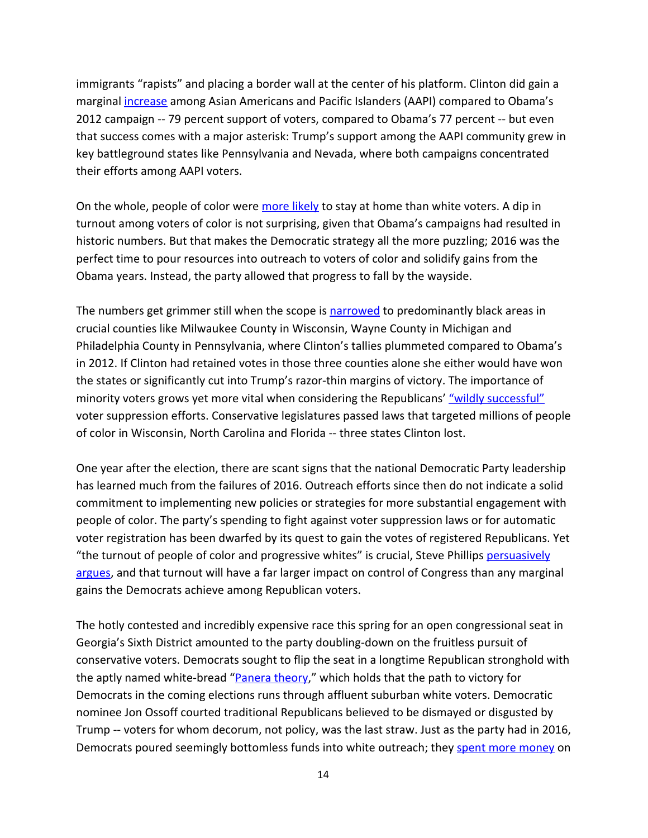immigrants "rapists" and placing a border wall at the center of his platform. Clinton did gain a marginal *[increase](https://www.nbcnews.com/news/asian-america/clinton-won-asian-american-vote-some-swing-states-turned-toward-n684716)* among Asian Americans and Pacific Islanders (AAPI) compared to Obama's 2012 campaign -- 79 percent support of voters, compared to Obama's 77 percent -- but even that success comes with a major asterisk: Trump's support among the AAPI community grew in key battleground states like Pennsylvania and Nevada, where both campaigns concentrated their efforts among AAPI voters.

On the whole, people of color were [more](https://fivethirtyeight.com/features/registered-voters-who-stayed-home-probably-cost-clinton-the-election/) likely to stay at home than white voters. A dip in turnout among voters of color is not surprising, given that Obama's campaigns had resulted in historic numbers. But that makes the Democratic strategy all the more puzzling; 2016 was the perfect time to pour resources into outreach to voters of color and solidify gains from the Obama years. Instead, the party allowed that progress to fall by the wayside.

The numbers get grimmer still when the scope is **[narrowed](http://www.huffingtonpost.com/entry/hillary-clinton-voter-turnout-key-states_us_582b79bae4b01d8a014b051f)** to predominantly black areas in crucial counties like Milwaukee County in Wisconsin, Wayne County in Michigan and Philadelphia County in Pennsylvania, where Clinton's tallies plummeted compared to Obama's in 2012. If Clinton had retained votes in those three counties alone she either would have won the states or significantly cut into Trump's razor-thin margins of victory. The importance of minority voters grows yet more vital when considering the Republicans' "wildly [successful"](https://thinkprogress.org/2016-a-case-study-in-voter-suppression-258b5f90ddcd/) voter suppression efforts. Conservative legislatures passed laws that targeted millions of people of color in Wisconsin, North Carolina and Florida -- three states Clinton lost.

One year after the election, there are scant signs that the national Democratic Party leadership has learned much from the failures of 2016. Outreach efforts since then do not indicate a solid commitment to implementing new policies or strategies for more substantial engagement with people of color. The party's spending to fight against voter suppression laws or for automatic voter registration has been dwarfed by its quest to gain the votes of registered Republicans. Yet "the turnout of people of color and progressive whites" is crucial, Steve Phillips [persuasively](https://www.thenation.com/article/to-win-in-midterm-elections-turnout-is-key/) [argues](https://www.thenation.com/article/to-win-in-midterm-elections-turnout-is-key/), and that turnout will have a far larger impact on control of Congress than any marginal gains the Democrats achieve among Republican voters.

The hotly contested and incredibly expensive race this spring for an open congressional seat in Georgia's Sixth District amounted to the party doubling-down on the fruitless pursuit of conservative voters. Democrats sought to flip the seat in a longtime Republican stronghold with the aptly named white-bread ["Panera](https://www.vox.com/policy-and-politics/2017/4/19/15351888/panera-bread-ossoff) theory," which holds that the path to victory for Democrats in the coming elections runs through affluent suburban white voters. Democratic nominee Jon Ossoff courted traditional Republicans believed to be dismayed or disgusted by Trump -- voters for whom decorum, not policy, was the last straw. Just as the party had in 2016, Democrats poured seemingly bottomless funds into white outreach; they spent more [money](http://www.motherjones.com/politics/2017/06/jon-ossoff-karen-handel-georgia-special-election-results/) on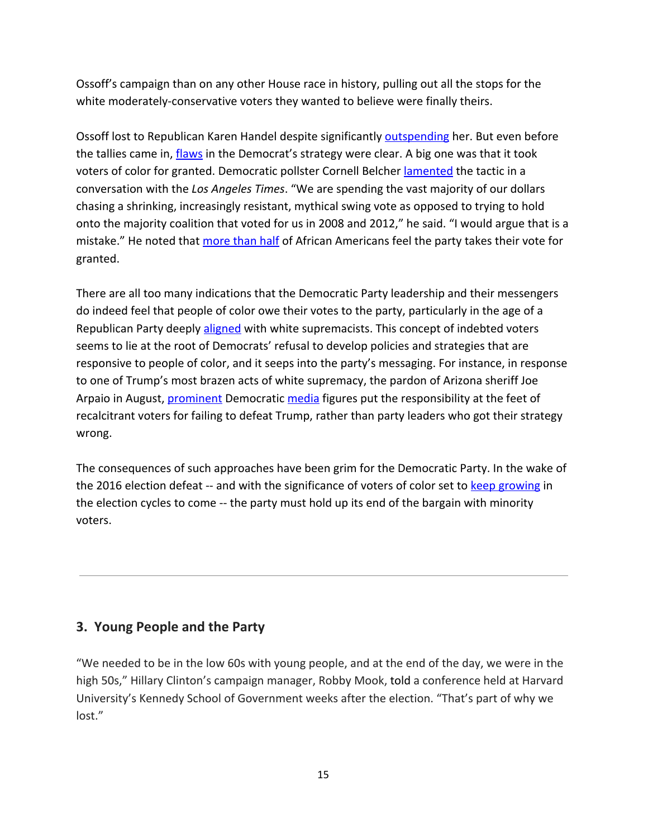Ossoff's campaign than on any other House race in history, pulling out all the stops for the white moderately-conservative voters they wanted to believe were finally theirs.

Ossoff lost to Republican Karen Handel despite significantly [outspending](https://www.nytimes.com/interactive/2017/06/20/us/politics/georgia-6th-most-expensive-house-election.html) her. But even before the tallies came in, *[flaws](https://ourfuture.org/20170626/would-a-berniecrat-have-won-ossoffs-georgia-race)* in the Democrat's strategy were clear. A big one was that it took voters of color for granted. Democratic pollster Cornell Belcher *[lamented](http://www.latimes.com/politics/la-na-pol-georgia-democrats-blacks-20170616-story.html)* the tactic in a conversation with the *Los Angeles Times*. "We are spending the vast majority of our dollars chasing a shrinking, increasingly resistant, mythical swing vote as opposed to trying to hold onto the majority coalition that voted for us in 2008 and 2012," he said. "I would argue that is a mistake." He noted that [more](http://thegrio.com/2017/02/28/most-african-americans-feel-taken-for-granted-by-democratic-party/) than half of African Americans feel the party takes their vote for granted.

There are all too many indications that the Democratic Party leadership and their messengers do indeed feel that people of color owe their votes to the party, particularly in the age of a Republican Party deeply [aligned](https://www.theguardian.com/commentisfree/2017/aug/19/republican-party-white-supremacists-charlottesville) with white supremacists. This concept of indebted voters seems to lie at the root of Democrats' refusal to develop policies and strategies that are responsive to people of color, and it seeps into the party's messaging. For instance, in response to one of Trump's most brazen acts of white supremacy, the pardon of Arizona sheriff Joe Arpaio in August, [prominent](https://twitter.com/joyannreid/status/901239763289722880) Democratic [media](https://twitter.com/markos/status/901250617783468032?lang=en) figures put the responsibility at the feet of recalcitrant voters for failing to defeat Trump, rather than party leaders who got their strategy wrong.

The consequences of such approaches have been grim for the Democratic Party. In the wake of the 2016 election defeat -- and with the significance of voters of color set to keep [growing](http://www.epi.org/publication/the-changing-demographics-of-americas-working-class/) in the election cycles to come -- the party must hold up its end of the bargain with minority voters.

# **3. Young People and the Party**

"We needed to be in the low 60s with young people, and at the end of the day, we were in the high 50s," Hillary Clinton's campaign manager, Robby Mook, told a conference held at Harvard University's Kennedy School of Government weeks after the election. "That's part of why we lost."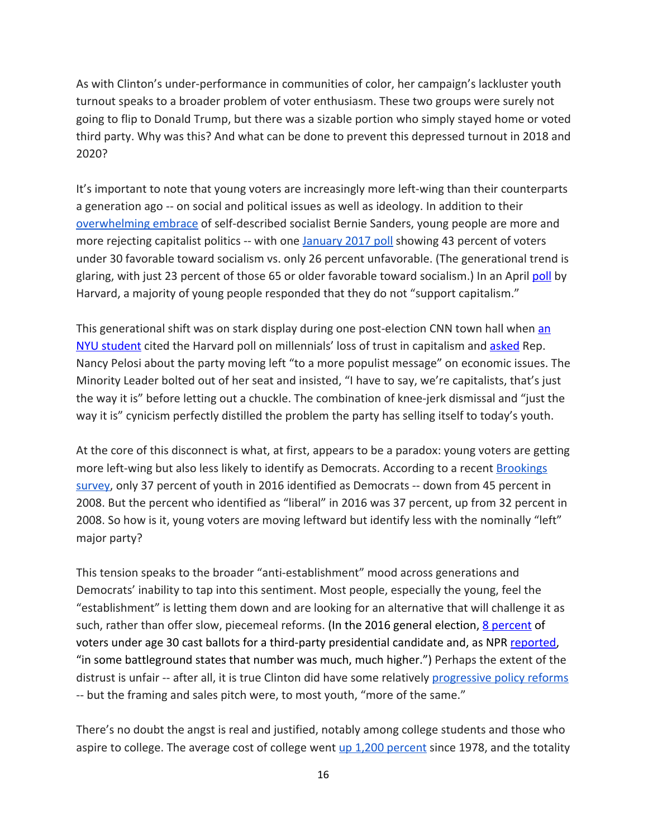As with Clinton's under-performance in communities of color, her campaign's lackluster youth turnout speaks to a broader problem of voter enthusiasm. These two groups were surely not going to flip to Donald Trump, but there was a sizable portion who simply stayed home or voted third party. Why was this? And what can be done to prevent this depressed turnout in 2018 and 2020?

It's important to note that young voters are increasingly more left-wing than their counterparts a generation ago -- on social and political issues as well as ideology. In addition to their [overwhelming](https://www.washingtonpost.com/news/the-fix/wp/2016/03/17/74-year-old-bernie-sanderss-amazing-dominance-among-young-voters-in-1-chart/) embrace of self-described socialist Bernie Sanders, young people are more and more rejecting capitalist politics -- with one [January](https://today.yougov.com/news/2016/01/28/democrats-remain-divided-socialism/) 2017 poll showing 43 percent of voters under 30 favorable toward socialism vs. only 26 percent unfavorable. (The generational trend is glaring, with just 23 percent of those 65 or older favorable toward socialism.) In an April [poll](https://www.washingtonpost.com/news/wonk/wp/2016/04/26/a-majority-of-millennials-now-reject-capitalism-poll-shows/?utm_term=.cbde9db6c1fd) by Harvard, a majority of young people responded that they do not "support capitalism."

This generational shift was on stark display during one post-election CNN town hall when [an](http://www.newsweek.com/democrats-want-socialist-lead-their-party-more-capitalist-629659) NYU [student](http://www.newsweek.com/democrats-want-socialist-lead-their-party-more-capitalist-629659) cited the Harvard poll on millennials' loss of trust in capitalism and [asked](http://www.huffingtonpost.com/entry/nancy-pelosi-town-hall-capitalism_us_58925a53e4b070cf8b807e28) Rep. Nancy Pelosi about the party moving left "to a more populist message" on economic issues. The Minority Leader bolted out of her seat and insisted, "I have to say, we're capitalists, that's just the way it is" before letting out a chuckle. The combination of knee-jerk dismissal and "just the way it is" cynicism perfectly distilled the problem the party has selling itself to today's youth.

At the core of this disconnect is what, at first, appears to be a paradox: young voters are getting more left-wing but also less likely to identify as Democrats. According to a recent **[Brookings](https://www.brookings.edu/blog/fixgov/2016/11/21/how-millennials-voted/)** [survey](https://www.brookings.edu/blog/fixgov/2016/11/21/how-millennials-voted/), only 37 percent of youth in 2016 identified as Democrats -- down from 45 percent in 2008. But the percent who identified as "liberal" in 2016 was 37 percent, up from 32 percent in 2008. So how is it, young voters are moving leftward but identify less with the nominally "left" major party?

This tension speaks to the broader "anti-establishment" mood across generations and Democrats' inability to tap into this sentiment. Most people, especially the young, feel the "establishment" is letting them down and are looking for an alternative that will challenge it as such, rather than offer slow, piecemeal reforms. (In the 2016 general election, 8 [percent](https://www.bloomberg.com/news/articles/2016-11-09/what-this-election-taught-us-about-millennial-voters) of voters under age 30 cast ballots for a third-party presidential candidate and, as NPR [reported,](http://www.npr.org/2016/11/10/501613486/election-results-provide-new-insight-into-millennial-voters) "in some battleground states that number was much, much higher.") Perhaps the extent of the distrust is unfair -- after all, it is true Clinton did have some relatively [progressive](https://www.vox.com/policy-and-politics/2016/11/3/13318750/hillary-clinton-vision-government) policy reforms -- but the framing and sales pitch were, to most youth, "more of the same."

There's no doubt the angst is real and justified, notably among college students and those who aspire to college. The average cost of college went up 1,200 [percent](http://www.motherjones.com/politics/2014/09/college-tuition-increased-1100-percent-since-1978/) since 1978, and the totality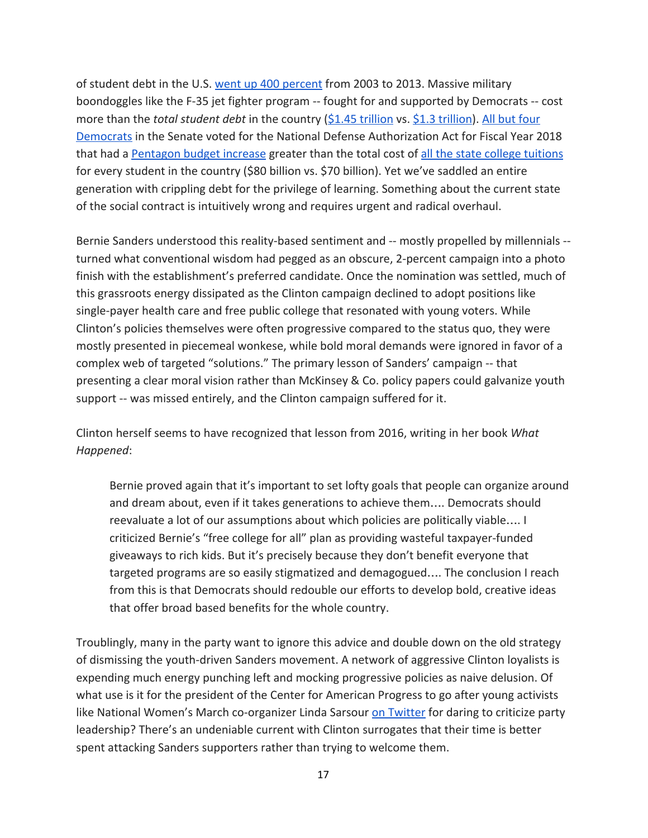of student debt in the U.S. went up 400 [percent](http://www.motherjones.com/politics/2013/06/student-loan-debt-charts/) from 2003 to 2013. Massive military boondoggles like the F-35 jet fighter program -- fought for and supported by Democrats -- cost more than the *total student debt* in the country (\$1.45 [trillion](http://time.com/money/4310099/f-35-budget-pay-free-college-student-loans/) vs. \$1.3 [trillion](https://www.forbes.com/forbes/welcome/?toURL=https://www.forbes.com/sites/zackfriedman/2017/02/21/student-loan-debt-statistics-2017/&refURL=https://www.google.com/&referrer=https://www.google.com/)). All but [four](https://www.govtrack.us/congress/votes/115-2017/s199?utm_campaign=govtrack_feed&utm_source=govtrack/feed&utm_medium=rss) [Democrats](https://www.govtrack.us/congress/votes/115-2017/s199?utm_campaign=govtrack_feed&utm_source=govtrack/feed&utm_medium=rss) in the Senate voted for the National Defense Authorization Act for Fiscal Year 2018 that had a [Pentagon](http://af.reuters.com/article/commoditiesNews/idAFL1N1K5111) budget increase greater than the total cost of all the state college [tuitions](https://www.theatlantic.com/business/archive/2014/01/heres-exactly-how-much-the-government-would-have-to-spend-to-make-public-college-tuition-free/282803/) for every student in the country (\$80 billion vs. \$70 billion). Yet we've saddled an entire generation with crippling debt for the privilege of learning. Something about the current state of the social contract is intuitively wrong and requires urgent and radical overhaul.

Bernie Sanders understood this reality-based sentiment and -- mostly propelled by millennials - turned what conventional wisdom had pegged as an obscure, 2-percent campaign into a photo finish with the establishment's preferred candidate. Once the nomination was settled, much of this grassroots energy dissipated as the Clinton campaign declined to adopt positions like single-payer health care and free public college that resonated with young voters. While Clinton's policies themselves were often progressive compared to the status quo, they were mostly presented in piecemeal wonkese, while bold moral demands were ignored in favor of a complex web of targeted "solutions." The primary lesson of Sanders' campaign -- that presenting a clear moral vision rather than McKinsey & Co. policy papers could galvanize youth support -- was missed entirely, and the Clinton campaign suffered for it.

Clinton herself seems to have recognized that lesson from 2016, writing in her book *What Happened*:

Bernie proved again that it's important to set lofty goals that people can organize around and dream about, even if it takes generations to achieve them…. Democrats should reevaluate a lot of our assumptions about which policies are politically viable…. I criticized Bernie's "free college for all" plan as providing wasteful taxpayer-funded giveaways to rich kids. But it's precisely because they don't benefit everyone that targeted programs are so easily stigmatized and demagogued…. The conclusion I reach from this is that Democrats should redouble our efforts to develop bold, creative ideas that offer broad based benefits for the whole country.

Troublingly, many in the party want to ignore this advice and double down on the old strategy of dismissing the youth-driven Sanders movement. A network of aggressive Clinton loyalists is expending much energy punching left and mocking progressive policies as naive delusion. Of what use is it for the president of the Center for American Progress to go after young activists like National Women's March co-organizer Linda Sarsour on [Twitter](https://twitter.com/neeratanden/status/843424261427646468?lang=en) for daring to criticize party leadership? There's an undeniable current with Clinton surrogates that their time is better spent attacking Sanders supporters rather than trying to welcome them.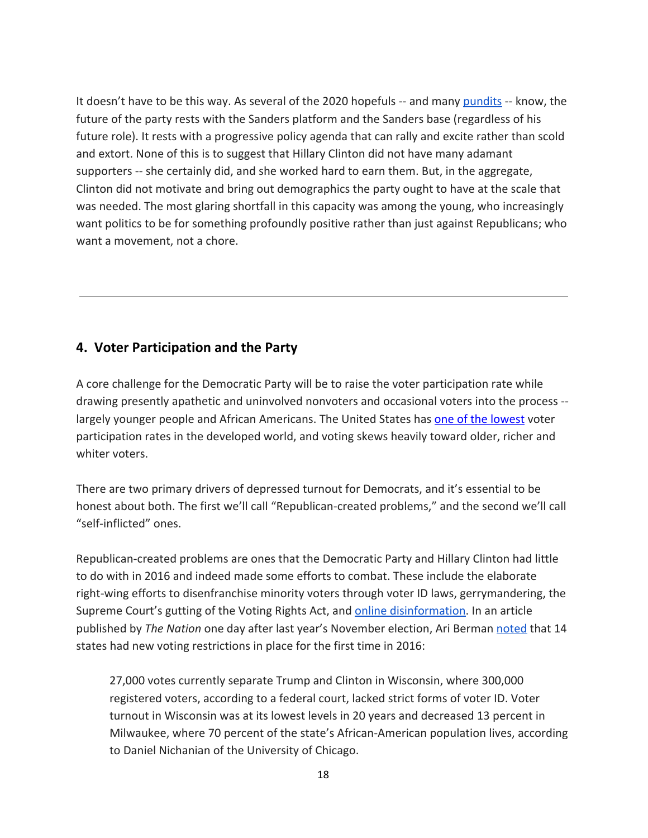It doesn't have to be this way. As several of the 2020 hopefuls -- and many [pundits](https://www.vox.com/policy-and-politics/2017/7/5/15802616/bernie-sanders-2020) -- know, the future of the party rests with the Sanders platform and the Sanders base (regardless of his future role). It rests with a progressive policy agenda that can rally and excite rather than scold and extort. None of this is to suggest that Hillary Clinton did not have many adamant supporters -- she certainly did, and she worked hard to earn them. But, in the aggregate, Clinton did not motivate and bring out demographics the party ought to have at the scale that was needed. The most glaring shortfall in this capacity was among the young, who increasingly want politics to be for something profoundly positive rather than just against Republicans; who want a movement, not a chore.

### **4. Voter Participation and the Party**

A core challenge for the Democratic Party will be to raise the voter participation rate while drawing presently apathetic and uninvolved nonvoters and occasional voters into the process - largely younger people and African Americans. The United States has one of the [lowest](http://www.pewresearch.org/fact-tank/2017/05/15/u-s-voter-turnout-trails-most-developed-countries/) voter participation rates in the developed world, and voting skews heavily toward older, richer and whiter voters.

There are two primary drivers of depressed turnout for Democrats, and it's essential to be honest about both. The first we'll call "Republican-created problems," and the second we'll call "self-inflicted" ones.

Republican-created problems are ones that the Democratic Party and Hillary Clinton had little to do with in 2016 and indeed made some efforts to combat. These include the elaborate right-wing efforts to disenfranchise minority voters through voter ID laws, gerrymandering, the Supreme Court's gutting of the Voting Rights Act, and **online [disinformation](https://www.nytimes.com/2016/11/09/us/politics/debunk-fake-news-election-day.html?mcubz=3&_r=0)**. In an article published by *The Nation* one day after last year's November election, Ari Berman [noted](https://www.thenation.com/article/the-gops-attack-on-voting-rights-was-the-most-under-covered-story-of-2016/) that 14 states had new voting restrictions in place for the first time in 2016:

27,000 votes currently separate Trump and Clinton in Wisconsin, where 300,000 registered voters, according to a federal court, lacked strict forms of voter ID. Voter turnout in Wisconsin was at its lowest levels in 20 years and decreased 13 percent in Milwaukee, where 70 percent of the state's African-American population lives, according to Daniel Nichanian of the University of Chicago.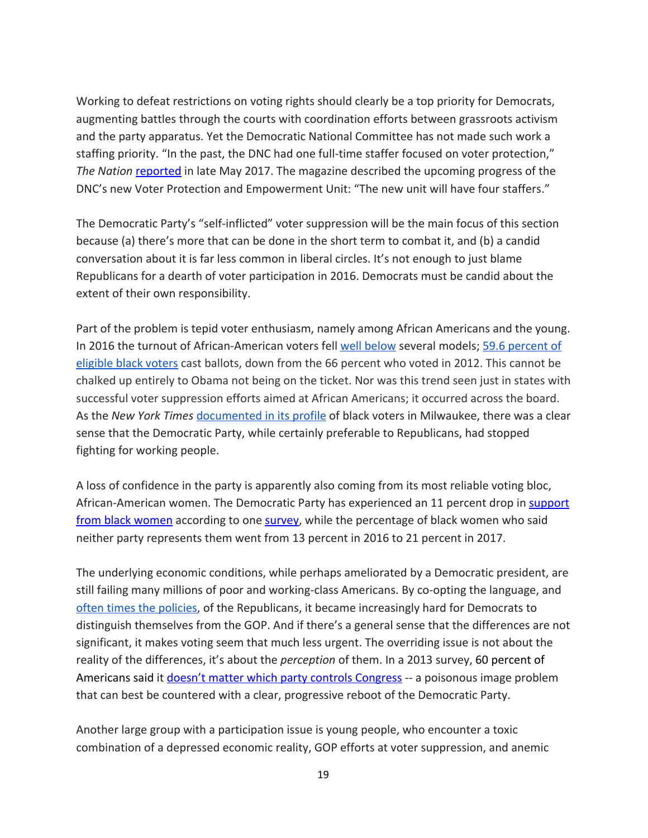Working to defeat restrictions on voting rights should clearly be a top priority for Democrats, augmenting battles through the courts with coordination efforts between grassroots activism and the party apparatus. Yet the Democratic National Committee has not made such work a staffing priority. "In the past, the DNC had one full-time staffer focused on voter protection," *The Nation* [reported](https://www.thenation.com/article/democrats-launching-commission-protect-american-democracy-trump/) in late May 2017. The magazine described the upcoming progress of the DNC's new Voter Protection and Empowerment Unit: "The new unit will have four staffers."

The Democratic Party's "self-inflicted" voter suppression will be the main focus of this section because (a) there's more that can be done in the short term to combat it, and (b) a candid conversation about it is far less common in liberal circles. It's not enough to just blame Republicans for a dearth of voter participation in 2016. Democrats must be candid about the extent of their own responsibility.

Part of the problem is tepid voter enthusiasm, namely among African Americans and the young. In 2016 the turnout of African-American voters fell well [below](https://www.nytimes.com/2017/03/28/upshot/a-2016-review-turnout-wasnt-the-driver-of-clintons-defeat.html?mcubz=3) several models; 59.6 [percent](https://www.brookings.edu/blog/the-avenue/2017/05/18/census-shows-pervasive-decline-in-2016-minority-voter-turnout/) of [eligible](https://www.brookings.edu/blog/the-avenue/2017/05/18/census-shows-pervasive-decline-in-2016-minority-voter-turnout/) black voters cast ballots, down from the 66 percent who voted in 2012. This cannot be chalked up entirely to Obama not being on the ticket. Nor was this trend seen just in states with successful voter suppression efforts aimed at African Americans; it occurred across the board. As the *New York Times* [documented](https://www.nytimes.com/2016/11/21/us/many-in-milwaukee-neighborhood-didnt-vote-and-dont-regret-it.html?mcubz=3) in its profile of black voters in Milwaukee, there was a clear sense that the Democratic Party, while certainly preferable to Republicans, had stopped fighting for working people.

A loss of confidence in the party is apparently also coming from its most reliable voting bloc, African-American women. The Democratic Party has experienced an 11 percent drop in [support](https://www.youtube.com/watch?v=QPx_Mcnli2Y) from black [women](https://www.youtube.com/watch?v=QPx_Mcnli2Y) according to one [survey,](http://www.ncbcp.org/assets/2017BWR.ESSENCEPOSVPollFindingsFINAL9.20.17.pdf) while the percentage of black women who said neither party represents them went from 13 percent in 2016 to 21 percent in 2017.

The underlying economic conditions, while perhaps ameliorated by a Democratic president, are still failing many millions of poor and working-class Americans. By co-opting the language, and often times the [policies,](http://thehill.com/policy/finance/272957-obama-says-his-economic-policies-so-mainstream-hed-be-seen-as-moderate-republican-in-1980s) of the Republicans, it became increasingly hard for Democrats to distinguish themselves from the GOP. And if there's a general sense that the differences are not significant, it makes voting seem that much less urgent. The overriding issue is not about the reality of the differences, it's about the *perception* of them. In a 2013 survey, 60 percent of Americans said it doesn't matter which party controls [Congress](https://www.monmouth.edu/assets/0/32212254770/32212254991/32212254992/32212254994/32212254995/40802189893/43fd4618eea8406daaec75e639e79cba.pdf) -- a poisonous image problem that can best be countered with a clear, progressive reboot of the Democratic Party.

Another large group with a participation issue is young people, who encounter a toxic combination of a depressed economic reality, GOP efforts at voter suppression, and anemic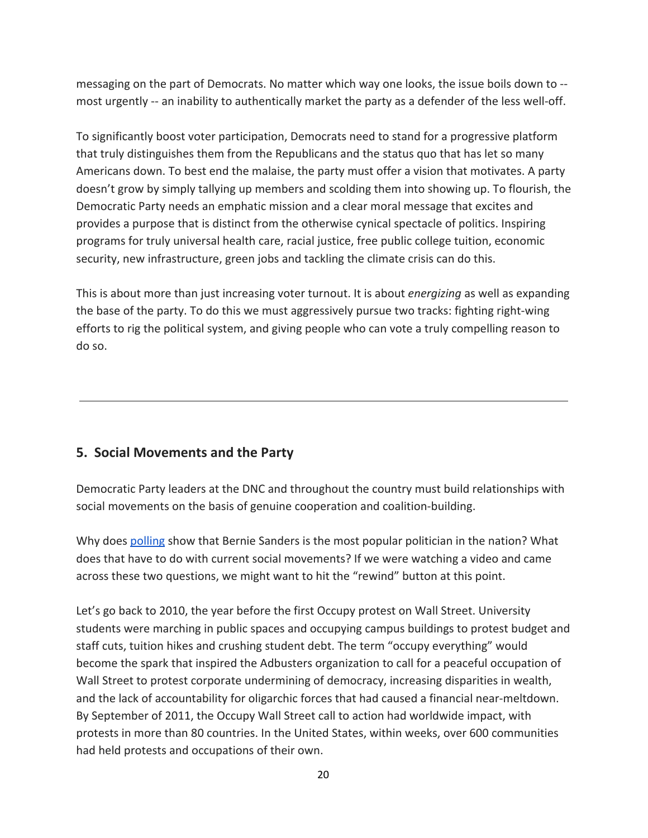messaging on the part of Democrats. No matter which way one looks, the issue boils down to - most urgently -- an inability to authentically market the party as a defender of the less well-off.

To significantly boost voter participation, Democrats need to stand for a progressive platform that truly distinguishes them from the Republicans and the status quo that has let so many Americans down. To best end the malaise, the party must offer a vision that motivates. A party doesn't grow by simply tallying up members and scolding them into showing up. To flourish, the Democratic Party needs an emphatic mission and a clear moral message that excites and provides a purpose that is distinct from the otherwise cynical spectacle of politics. Inspiring programs for truly universal health care, racial justice, free public college tuition, economic security, new infrastructure, green jobs and tackling the climate crisis can do this.

This is about more than just increasing voter turnout. It is about *energizing* as well as expanding the base of the party. To do this we must aggressively pursue two tracks: fighting right-wing efforts to rig the political system, and giving people who can vote a truly compelling reason to do so.

## **5. Social Movements and the Party**

Democratic Party leaders at the DNC and throughout the country must build relationships with social movements on the basis of genuine cooperation and coalition-building.

Why does [polling](https://www.vice.com/en_us/article/xww4ek/bernie-sanders-is-the-most-popular-politician-in-america-poll-says-vgtrn) show that Bernie Sanders is the most popular politician in the nation? What does that have to do with current social movements? If we were watching a video and came across these two questions, we might want to hit the "rewind" button at this point.

Let's go back to 2010, the year before the first Occupy protest on Wall Street. University students were marching in public spaces and occupying campus buildings to protest budget and staff cuts, tuition hikes and crushing student debt. The term "occupy everything" would become the spark that inspired the Adbusters organization to call for a peaceful occupation of Wall Street to protest corporate undermining of democracy, increasing disparities in wealth, and the lack of accountability for oligarchic forces that had caused a financial near-meltdown. By September of 2011, the Occupy Wall Street call to action had worldwide impact, with protests in more than 80 countries. In the United States, within weeks, over 600 communities had held protests and occupations of their own.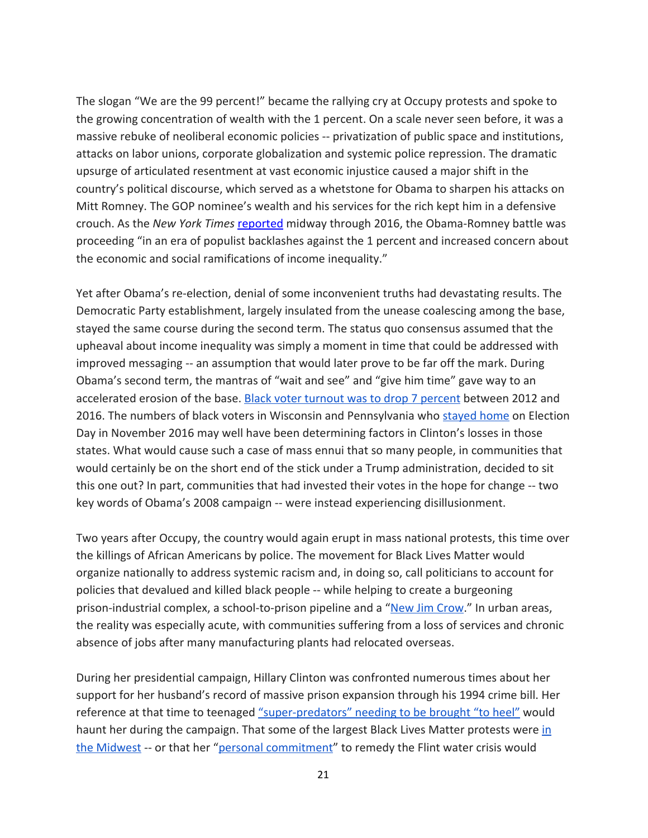The slogan "We are the 99 percent!" became the rallying cry at Occupy protests and spoke to the growing concentration of wealth with the 1 percent. On a scale never seen before, it was a massive rebuke of neoliberal economic policies -- privatization of public space and institutions, attacks on labor unions, corporate globalization and systemic police repression. The dramatic upsurge of articulated resentment at vast economic injustice caused a major shift in the country's political discourse, which served as a whetstone for Obama to sharpen his attacks on Mitt Romney. The GOP nominee's wealth and his services for the rich kept him in a defensive crouch. As the *New York Times* [reported](http://www.nytimes.com/2012/07/08/us/politics/obama-and-romney-gamble-on-wealth-divide.html) midway through 2016, the Obama-Romney battle was proceeding "in an era of populist backlashes against the 1 percent and increased concern about the economic and social ramifications of income inequality."

Yet after Obama's re-election, denial of some inconvenient truths had devastating results. The Democratic Party establishment, largely insulated from the unease coalescing among the base, stayed the same course during the second term. The status quo consensus assumed that the upheaval about income inequality was simply a moment in time that could be addressed with improved messaging -- an assumption that would later prove to be far off the mark. During Obama's second term, the mantras of "wait and see" and "give him time" gave way to an accelerated erosion of the base. Black voter turnout was to drop 7 [percent](https://www.brookings.edu/blog/the-avenue/2017/05/18/census-shows-pervasive-decline-in-2016-minority-voter-turnout/) between 2012 and 2016. The numbers of black voters in Wisconsin and Pennsylvania who [stayed](http://thehill.com/blogs/pundits-blog/national-party-news/345056-democrats-new-better-deal-comes-up-short-for-people-of) home on Election Day in November 2016 may well have been determining factors in Clinton's losses in those states. What would cause such a case of mass ennui that so many people, in communities that would certainly be on the short end of the stick under a Trump administration, decided to sit this one out? In part, communities that had invested their votes in the hope for change -- two key words of Obama's 2008 campaign -- were instead experiencing disillusionment.

Two years after Occupy, the country would again erupt in mass national protests, this time over the killings of African Americans by police. The movement for Black Lives Matter would organize nationally to address systemic racism and, in doing so, call politicians to account for policies that devalued and killed black people -- while helping to create a burgeoning prison-industrial complex, a school-to-prison pipeline and a "New Jim [Crow.](http://newjimcrow.com/about)" In urban areas, the reality was especially acute, with communities suffering from a loss of services and chronic absence of jobs after many manufacturing plants had relocated overseas.

During her presidential campaign, Hillary Clinton was confronted numerous times about her support for her husband's record of massive prison expansion through his 1994 crime bill. Her reference at that time to teenaged ["super-predators"](https://www.thenation.com/article/hillary-clinton-does-not-deserve-black-peoples-votes/) needing to be brought "to heel" would haunt her during the campaign. That some of the largest Black Lives Matter protests were [in](https://www.theguardian.com/us-news/2016/mar/16/black-lives-matter-movement-midwest-elections-victories) the [Midwest](https://www.theguardian.com/us-news/2016/mar/16/black-lives-matter-movement-midwest-elections-victories) -- or that her "personal [commitment"](http://www.cnn.com/2016/02/07/politics/hillary-clinton-flint-michigan-water-2016-election/index.html) to remedy the Flint water crisis would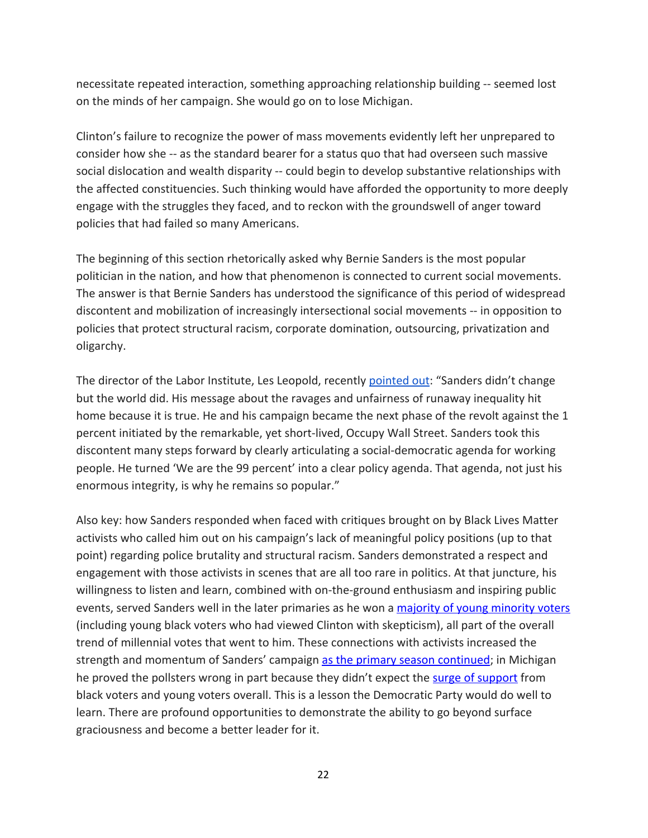necessitate repeated interaction, something approaching relationship building -- seemed lost on the minds of her campaign. She would go on to lose Michigan.

Clinton's failure to recognize the power of mass movements evidently left her unprepared to consider how she -- as the standard bearer for a status quo that had overseen such massive social dislocation and wealth disparity -- could begin to develop substantive relationships with the affected constituencies. Such thinking would have afforded the opportunity to more deeply engage with the struggles they faced, and to reckon with the groundswell of anger toward policies that had failed so many Americans.

The beginning of this section rhetorically asked why Bernie Sanders is the most popular politician in the nation, and how that phenomenon is connected to current social movements. The answer is that Bernie Sanders has understood the significance of this period of widespread discontent and mobilization of increasingly intersectional social movements -- in opposition to policies that protect structural racism, corporate domination, outsourcing, privatization and oligarchy.

The director of the Labor Institute, Les Leopold, recently [pointed](http://www.salon.com/2017/03/20/why-bernie-sanders-is-the-most-popular-politician-in-the-united-states_partner/) out: "Sanders didn't change but the world did. His message about the ravages and unfairness of runaway inequality hit home because it is true. He and his campaign became the next phase of the revolt against the 1 percent initiated by the remarkable, yet short-lived, Occupy Wall Street. Sanders took this discontent many steps forward by clearly articulating a social-democratic agenda for working people. He turned 'We are the 99 percent' into a clear policy agenda. That agenda, not just his enormous integrity, is why he remains so popular."

Also key: how Sanders responded when faced with critiques brought on by Black Lives Matter activists who called him out on his campaign's lack of meaningful policy positions (up to that point) regarding police brutality and structural racism. Sanders demonstrated a respect and engagement with those activists in scenes that are all too rare in politics. At that juncture, his willingness to listen and learn, combined with on-the-ground enthusiasm and inspiring public events, served Sanders well in the later primaries as he won a majority of young [minority](https://www.nbcnews.com/news/nbcblk/huge-split-between-older-younger-blacks-democratic-primary-n580996) voters (including young black voters who had viewed Clinton with skepticism), all part of the overall trend of millennial votes that went to him. These connections with activists increased the strength and momentum of Sanders' campaign as the primary season [continued;](https://www.washingtonpost.com/news/the-fix/wp/2016/06/20/more-young-people-voted-for-bernie-sanders-than-trump-and-clinton-combined-by-a-lot/?utm_term=.bc56b50325fb) in Michigan he proved the pollsters wrong in part because they didn't expect the surge of [support](https://fivethirtyeight.com/features/why-the-polls-missed-bernie-sanders-michigan-upset/) from black voters and young voters overall. This is a lesson the Democratic Party would do well to learn. There are profound opportunities to demonstrate the ability to go beyond surface graciousness and become a better leader for it.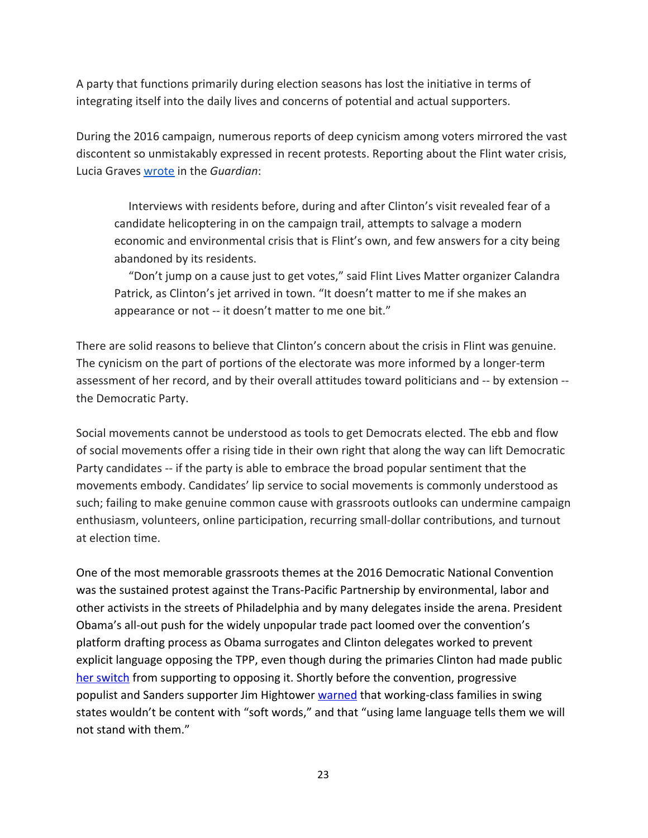A party that functions primarily during election seasons has lost the initiative in terms of integrating itself into the daily lives and concerns of potential and actual supporters.

During the 2016 campaign, numerous reports of deep cynicism among voters mirrored the vast discontent so unmistakably expressed in recent protests. Reporting about the Flint water crisis, Lucia Graves [wrote](https://www.theguardian.com/us-news/2016/feb/07/flint-water-crisis-hillary-clinton-michigan-visit) in the *Guardian*:

 Interviews with residents before, during and after Clinton's visit revealed fear of a candidate helicoptering in on the campaign trail, attempts to salvage a modern economic and environmental crisis that is Flint's own, and few answers for a city being abandoned by its residents.

 "Don't jump on a cause just to get votes," said Flint Lives Matter organizer Calandra Patrick, as Clinton's jet arrived in town. "It doesn't matter to me if she makes an appearance or not -- it doesn't matter to me one bit."

There are solid reasons to believe that Clinton's concern about the crisis in Flint was genuine. The cynicism on the part of portions of the electorate was more informed by a longer-term assessment of her record, and by their overall attitudes toward politicians and -- by extension - the Democratic Party.

Social movements cannot be understood as tools to get Democrats elected. The ebb and flow of social movements offer a rising tide in their own right that along the way can lift Democratic Party candidates -- if the party is able to embrace the broad popular sentiment that the movements embody. Candidates' lip service to social movements is commonly understood as such; failing to make genuine common cause with grassroots outlooks can undermine campaign enthusiasm, volunteers, online participation, recurring small-dollar contributions, and turnout at election time.

One of the most memorable grassroots themes at the 2016 Democratic National Convention was the sustained protest against the Trans-Pacific Partnership by environmental, labor and other activists in the streets of Philadelphia and by many delegates inside the arena. President Obama's all-out push for the widely unpopular trade pact loomed over the convention's platform drafting process as Obama surrogates and Clinton delegates worked to prevent explicit language opposing the TPP, even though during the primaries Clinton had made public her [switch](http://www.politico.com/story/2016/10/hillary-clinton-trade-deal-229381) from supporting to opposing it. Shortly before the convention, progressive populist and Sanders supporter Jim Hightower [warned](https://www.thenation.com/article/democrats-toughen-trade-stance-but-reject-formal-opposition-to-the-tpp/) that working-class families in swing states wouldn't be content with "soft words," and that "using lame language tells them we will not stand with them."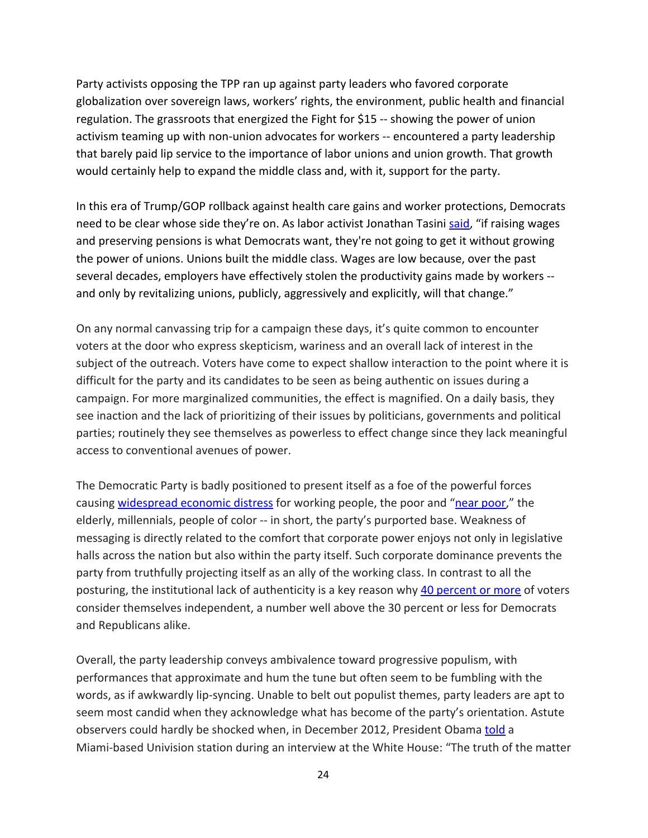Party activists opposing the TPP ran up against party leaders who favored corporate globalization over sovereign laws, workers' rights, the environment, public health and financial regulation. The grassroots that energized the Fight for \$15 -- showing the power of union activism teaming up with non-union advocates for workers -- encountered a party leadership that barely paid lip service to the importance of labor unions and union growth. That growth would certainly help to expand the middle class and, with it, support for the party.

In this era of Trump/GOP rollback against health care gains and worker protections, Democrats need to be clear whose side they're on. As labor activist Jonathan Tasini [said,](http://www.cnn.com/2017/07/24/opinions/democrats-economic-plan-opinion-tasini/index.html) "if raising wages and preserving pensions is what Democrats want, they're not going to get it without growing the power of unions. Unions built the middle class. Wages are low because, over the past several decades, employers have effectively stolen the productivity gains made by workers - and only by revitalizing unions, publicly, aggressively and explicitly, will that change."

On any normal canvassing trip for a campaign these days, it's quite common to encounter voters at the door who express skepticism, wariness and an overall lack of interest in the subject of the outreach. Voters have come to expect shallow interaction to the point where it is difficult for the party and its candidates to be seen as being authentic on issues during a campaign. For more marginalized communities, the effect is magnified. On a daily basis, they see inaction and the lack of prioritizing of their issues by politicians, governments and political parties; routinely they see themselves as powerless to effect change since they lack meaningful access to conventional avenues of power.

The Democratic Party is badly positioned to present itself as a foe of the powerful forces causing [widespread](http://www.marketwatch.com/story/one-third-of-american-households-cant-afford-food-shelter-or-medical-care-2017-09-27?mod=mw_share_twitter) economic distress for working people, the [poor](http://www.nytimes.com/2011/11/19/us/census-measures-those-not-quite-in-poverty-but-struggling.html) and "near poor," the elderly, millennials, people of color -- in short, the party's purported base. Weakness of messaging is directly related to the comfort that corporate power enjoys not only in legislative halls across the nation but also within the party itself. Such corporate dominance prevents the party from truthfully projecting itself as an ally of the working class. In contrast to all the posturing, the institutional lack of authenticity is a key reason why 40 [percent](http://news.gallup.com/poll/15370/party-affiliation.aspx) or more of voters consider themselves independent, a number well above the 30 percent or less for Democrats and Republicans alike.

Overall, the party leadership conveys ambivalence toward progressive populism, with performances that approximate and hum the tune but often seem to be fumbling with the words, as if awkwardly lip-syncing. Unable to belt out populist themes, party leaders are apt to seem most candid when they acknowledge what has become of the party's orientation. Astute observers could hardly be shocked when, in December 2012, President Obama [told](http://thehill.com/policy/finance/272957-obama-says-his-economic-policies-so-mainstream-hed-be-seen-as-moderate-republican-in-1980s) a Miami-based Univision station during an interview at the White House: "The truth of the matter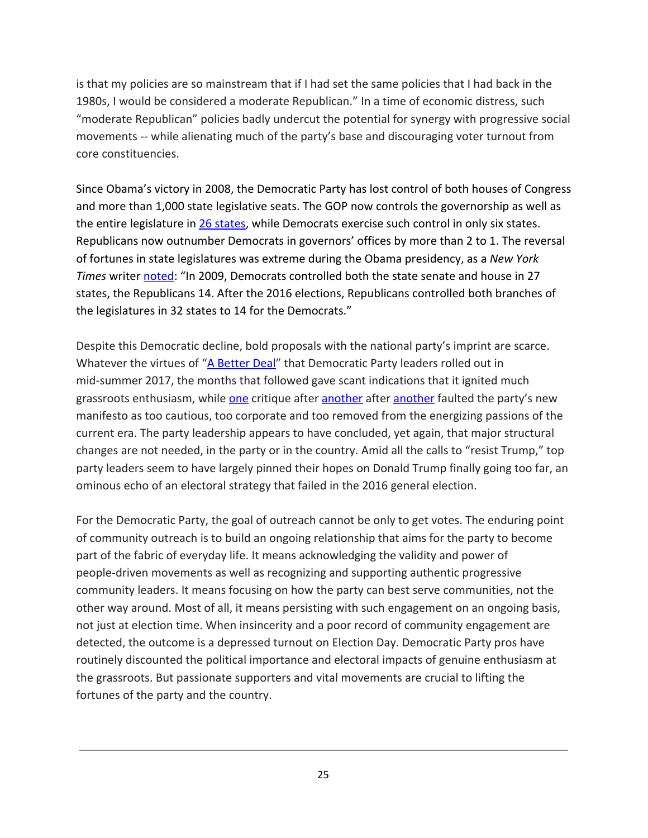is that my policies are so mainstream that if I had set the same policies that I had back in the 1980s, I would be considered a moderate Republican." In a time of economic distress, such "moderate Republican" policies badly undercut the potential for synergy with progressive social movements -- while alienating much of the party's base and discouraging voter turnout from core constituencies.

Since Obama's victory in 2008, the Democratic Party has lost control of both houses of Congress and more than 1,000 state legislative seats. The GOP now controls the governorship as well as the entire legislature in 26 [states](http://thehill.com/homenews/state-watch/345232-republicans-will-completely-control-a-quarter-of-the-states), while Democrats exercise such control in only six states. Republicans now outnumber Democrats in governors' offices by more than 2 to 1. The reversal of fortunes in state legislatures was extreme during the Obama presidency, as a *New York Times* writer [noted](https://www.nytimes.com/2017/08/10/opinion/donald-trump-is-the-godfather-of-a-democratic-renaissance.html): "In 2009, Democrats controlled both the state senate and house in 27 states, the Republicans 14. After the 2016 elections, Republicans controlled both branches of the legislatures in 32 states to 14 for the Democrats."

Despite this Democratic decline, bold proposals with the national party's imprint are scarce. Whatever the virtues of "A [Better](https://democrats.senate.gov/abetterdeal/#.WdXnHWhSw2x) Deal" that Democratic Party leaders rolled out in mid-summer 2017, the months that followed gave scant indications that it ignited much grassroots enthusiasm, while [one](http://www.cnn.com/2017/07/24/opinions/democrats-economic-plan-opinion-tasini/index.html) critique after [another](https://ourfuture.org/20170803/uber-democrats-workers-should-cooperate-not-compete) after another faulted the party's new manifesto as too cautious, too corporate and too removed from the energizing passions of the current era. The party leadership appears to have concluded, yet again, that major structural changes are not needed, in the party or in the country. Amid all the calls to "resist Trump," top party leaders seem to have largely pinned their hopes on Donald Trump finally going too far, an ominous echo of an electoral strategy that failed in the 2016 general election.

For the Democratic Party, the goal of outreach cannot be only to get votes. The enduring point of community outreach is to build an ongoing relationship that aims for the party to become part of the fabric of everyday life. It means acknowledging the validity and power of people-driven movements as well as recognizing and supporting authentic progressive community leaders. It means focusing on how the party can best serve communities, not the other way around. Most of all, it means persisting with such engagement on an ongoing basis, not just at election time. When insincerity and a poor record of community engagement are detected, the outcome is a depressed turnout on Election Day. Democratic Party pros have routinely discounted the political importance and electoral impacts of genuine enthusiasm at the grassroots. But passionate supporters and vital movements are crucial to lifting the fortunes of the party and the country.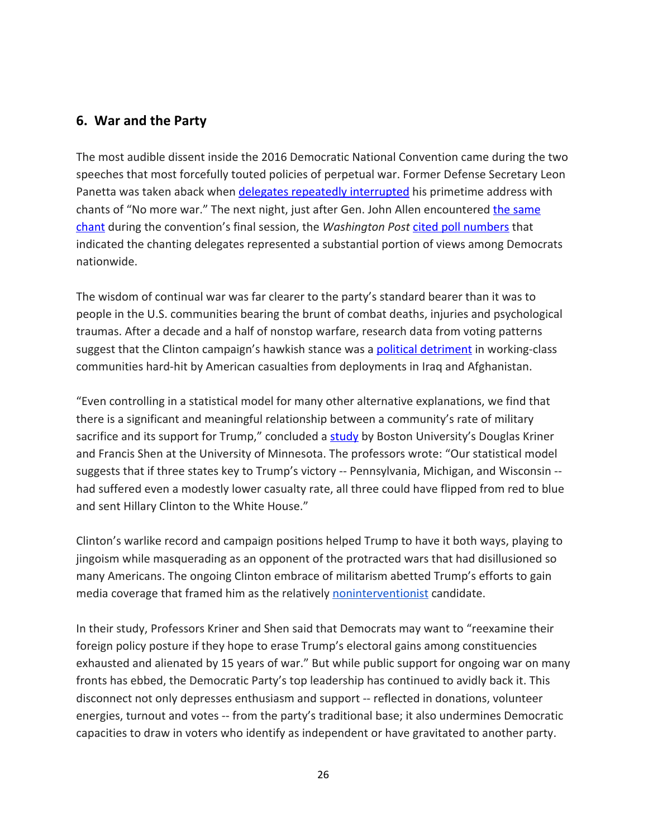## **6. War and the Party**

The most audible dissent inside the 2016 Democratic National Convention came during the two speeches that most forcefully touted policies of perpetual war. Former Defense Secretary Leon Panetta was taken aback when delegates repeatedly [interrupted](http://time.com/4427643/dnc-leon-panetta-no-more-war-chants/) his primetime address with chants of "No more war." The next night, just after Gen. John Allen encountered the [same](http://www.slate.com/blogs/the_slatest/2016/07/29/_no_more_war_is_a_good_thing_to_chant_at_the_dnc.html) [chant](http://www.slate.com/blogs/the_slatest/2016/07/29/_no_more_war_is_a_good_thing_to_chant_at_the_dnc.html) during the convention's final session, the *Washington Post* cited poll [numbers](https://www.washingtonpost.com/news/the-fix/wp/2016/07/28/some-democratic-delegates-shouted-at-a-retired-general-on-thursday-heres-why/?utm_term=.af5f63729a33) that indicated the chanting delegates represented a substantial portion of views among Democrats nationwide.

The wisdom of continual war was far clearer to the party's standard bearer than it was to people in the U.S. communities bearing the brunt of combat deaths, injuries and psychological traumas. After a decade and a half of nonstop warfare, research data from voting patterns suggest that the Clinton campaign's hawkish stance was a **political [detriment](https://www.thenation.com/article/new-study-communities-most-affected-by-war-turned-to-trump-in-2016/)** in working-class communities hard-hit by American casualties from deployments in Iraq and Afghanistan.

"Even controlling in a statistical model for many other alternative explanations, we find that there is a significant and meaningful relationship between a community's rate of military sacrifice and its support for Trump," concluded a [study](https://ssrn.com/abstract=2989040) by Boston University's Douglas Kriner and Francis Shen at the University of Minnesota. The professors wrote: "Our statistical model suggests that if three states key to Trump's victory -- Pennsylvania, Michigan, and Wisconsin - had suffered even a modestly lower casualty rate, all three could have flipped from red to blue and sent Hillary Clinton to the White House."

Clinton's warlike record and campaign positions helped Trump to have it both ways, playing to jingoism while masquerading as an opponent of the protracted wars that had disillusioned so many Americans. The ongoing Clinton embrace of militarism abetted Trump's efforts to gain media coverage that framed him as the relatively [noninterventionist](https://www.washingtonpost.com/news/worldviews/wp/2017/08/23/its-time-to-drop-the-myth-of-donald-the-dove/?utm_term=.51cf91f03b18) candidate.

In their study, Professors Kriner and Shen said that Democrats may want to "reexamine their foreign policy posture if they hope to erase Trump's electoral gains among constituencies exhausted and alienated by 15 years of war." But while public support for ongoing war on many fronts has ebbed, the Democratic Party's top leadership has continued to avidly back it. This disconnect not only depresses enthusiasm and support -- reflected in donations, volunteer energies, turnout and votes -- from the party's traditional base; it also undermines Democratic capacities to draw in voters who identify as independent or have gravitated to another party.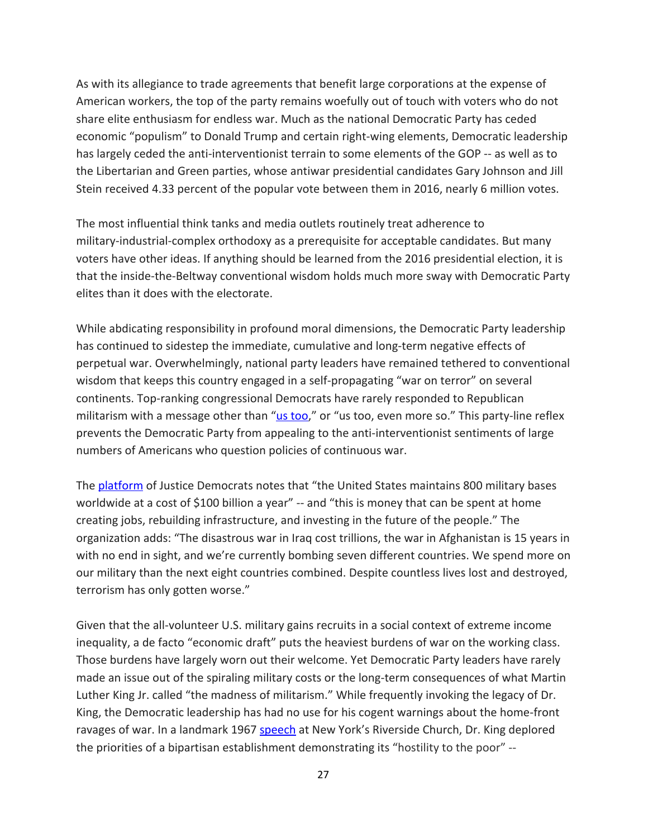As with its allegiance to trade agreements that benefit large corporations at the expense of American workers, the top of the party remains woefully out of touch with voters who do not share elite enthusiasm for endless war. Much as the national Democratic Party has ceded economic "populism" to Donald Trump and certain right-wing elements, Democratic leadership has largely ceded the anti-interventionist terrain to some elements of the GOP -- as well as to the Libertarian and Green parties, whose antiwar presidential candidates Gary Johnson and Jill Stein received 4.33 percent of the popular vote between them in 2016, nearly 6 million votes.

The most influential think tanks and media outlets routinely treat adherence to military-industrial-complex orthodoxy as a prerequisite for acceptable candidates. But many voters have other ideas. If anything should be learned from the 2016 presidential election, it is that the inside-the-Beltway conventional wisdom holds much more sway with Democratic Party elites than it does with the electorate.

While abdicating responsibility in profound moral dimensions, the Democratic Party leadership has continued to sidestep the immediate, cumulative and long-term negative effects of perpetual war. Overwhelmingly, national party leaders have remained tethered to conventional wisdom that keeps this country engaged in a self-propagating "war on terror" on several continents. Top-ranking congressional Democrats have rarely responded to Republican militarism with a message other than "us [too,](https://theintercept.com/2017/07/17/with-new-d-c-policy-group-dems-continue-to-rehabilitate-and-unify-with-bush-era-neocons)" or "us too, even more so." This party-line reflex prevents the Democratic Party from appealing to the anti-interventionist sentiments of large numbers of Americans who question policies of continuous war.

The **[platform](https://justicedemocrats.com/Platform)** of Justice Democrats notes that "the United States maintains 800 military bases worldwide at a cost of \$100 billion a year" -- and "this is money that can be spent at home creating jobs, rebuilding infrastructure, and investing in the future of the people." The organization adds: "The disastrous war in Iraq cost trillions, the war in Afghanistan is 15 years in with no end in sight, and we're currently bombing seven different countries. We spend more on our military than the next eight countries combined. Despite countless lives lost and destroyed, terrorism has only gotten worse."

Given that the all-volunteer U.S. military gains recruits in a social context of extreme income inequality, a de facto "economic draft" puts the heaviest burdens of war on the working class. Those burdens have largely worn out their welcome. Yet Democratic Party leaders have rarely made an issue out of the spiraling military costs or the long-term consequences of what Martin Luther King Jr. called "the madness of militarism." While frequently invoking the legacy of Dr. King, the Democratic leadership has had no use for his cogent warnings about the home-front ravages of war. In a landmark 1967 [speech](http://kingencyclopedia.stanford.edu/encyclopedia/documentsentry/doc_beyond_vietnam/) at New York's Riverside Church, Dr. King deplored the priorities of a bipartisan establishment demonstrating its "hostility to the poor" --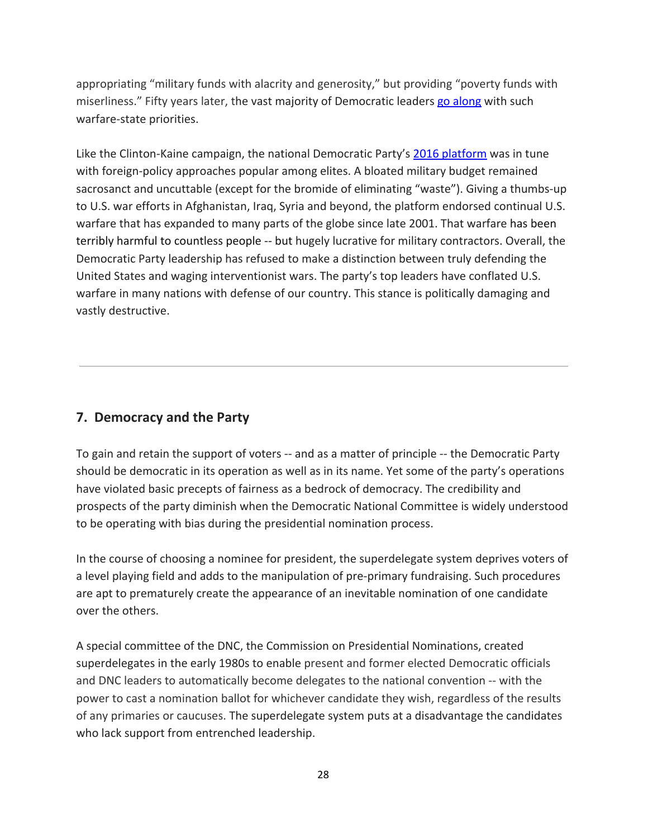appropriating "military funds with alacrity and generosity," but providing "poverty funds with miserliness." Fifty years later, the vast majority of Democratic leaders go [along](https://www.reuters.com/article/us-usa-defense-congress/senate-backs-massive-increase-in-military-spending-idUSKCN1BT2PV) with such warfare-state priorities.

Like the Clinton-Kaine campaign, the national Democratic Party's 2016 [platform](http://www.presidency.ucsb.edu/papers_pdf/117717.pdf) was in tune with foreign-policy approaches popular among elites. A bloated military budget remained sacrosanct and uncuttable (except for the bromide of eliminating "waste"). Giving a thumbs-up to U.S. war efforts in Afghanistan, Iraq, Syria and beyond, the platform endorsed continual U.S. warfare that has expanded to many parts of the globe since late 2001. That warfare has been terribly harmful to countless people -- but hugely lucrative for military contractors. Overall, the Democratic Party leadership has refused to make a distinction between truly defending the United States and waging interventionist wars. The party's top leaders have conflated U.S. warfare in many nations with defense of our country. This stance is politically damaging and vastly destructive.

## **7. Democracy and the Party**

To gain and retain the support of voters -- and as a matter of principle -- the Democratic Party should be democratic in its operation as well as in its name. Yet some of the party's operations have violated basic precepts of fairness as a bedrock of democracy. The credibility and prospects of the party diminish when the Democratic National Committee is widely understood to be operating with bias during the presidential nomination process.

In the course of choosing a nominee for president, the superdelegate system deprives voters of a level playing field and adds to the manipulation of pre-primary fundraising. Such procedures are apt to prematurely create the appearance of an inevitable nomination of one candidate over the others.

A special committee of the DNC, the Commission on Presidential Nominations, created superdelegates in the early 1980s to enable present and former elected Democratic officials and DNC leaders to automatically become delegates to the national convention -- with the power to cast a nomination ballot for whichever candidate they wish, regardless of the results of any primaries or caucuses. The superdelegate system puts at a disadvantage the candidates who lack support from entrenched leadership.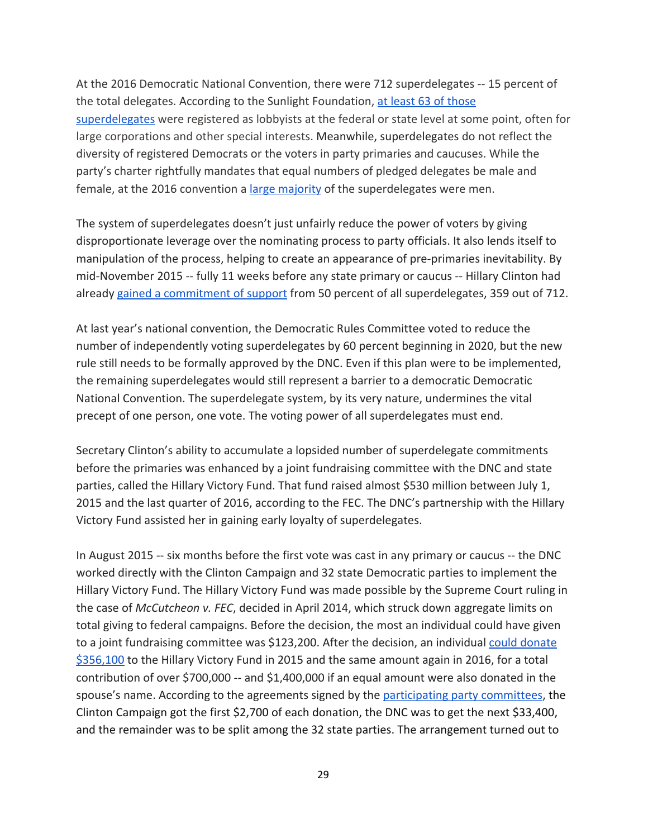At the 2016 Democratic National Convention, there were 712 superdelegates -- 15 percent of the total delegates. According to the Sunlight Foundation, at least 63 of [those](https://sunlightfoundation.com/2016/07/28/influence-at-the-dnc-more-than-60-superdelegates-are-registered-lobbyists/) [superdelegates](https://sunlightfoundation.com/2016/07/28/influence-at-the-dnc-more-than-60-superdelegates-are-registered-lobbyists/) were registered as lobbyists at the federal or state level at some point, often for large corporations and other special interests. Meanwhile, superdelegates do not reflect the diversity of registered Democrats or the voters in party primaries and caucuses. While the party's charter rightfully mandates that equal numbers of pledged delegates be male and female, at the 2016 convention a large [majority](http://www.pewresearch.org/fact-tank/2016/05/05/who-are-the-democratic-superdelegates/) of the superdelegates were men.

The system of superdelegates doesn't just unfairly reduce the power of voters by giving disproportionate leverage over the nominating process to party officials. It also lends itself to manipulation of the process, helping to create an appearance of pre-primaries inevitability. By mid-November 2015 -- fully 11 weeks before any state primary or caucus -- Hillary Clinton had already gained a [commitment](http://www.npr.org/2015/11/13/455812702/clinton-has-45-to-1-superdelegate-advantage-over-sanders) of support from 50 percent of all superdelegates, 359 out of 712.

At last year's national convention, the Democratic Rules Committee voted to reduce the number of independently voting superdelegates by 60 percent beginning in 2020, but the new rule still needs to be formally approved by the DNC. Even if this plan were to be implemented, the remaining superdelegates would still represent a barrier to a democratic Democratic National Convention. The superdelegate system, by its very nature, undermines the vital precept of one person, one vote. The voting power of all superdelegates must end.

Secretary Clinton's ability to accumulate a lopsided number of superdelegate commitments before the primaries was enhanced by a joint fundraising committee with the DNC and state parties, called the Hillary Victory Fund. That fund raised almost \$530 million between July 1, 2015 and the last quarter of 2016, according to the FEC. The DNC's partnership with the Hillary Victory Fund assisted her in gaining early loyalty of superdelegates.

In August 2015 -- six months before the first vote was cast in any primary or caucus -- the DNC worked directly with the Clinton Campaign and 32 state Democratic parties to implement the Hillary Victory Fund. The Hillary Victory Fund was made possible by the Supreme Court ruling in the case of *McCutcheon v. FEC*, decided in April 2014, which struck down aggregate limits on total giving to federal campaigns. Before the decision, the most an individual could have given to a joint fundraising committee was \$123,200. After the decision, an individual could [donate](http://www.politico.com/story/2016/04/clinton-fundraising-leaves-little-for-state-parties-222670) [\\$356,100](http://www.politico.com/story/2016/04/clinton-fundraising-leaves-little-for-state-parties-222670) to the Hillary Victory Fund in 2015 and the same amount again in 2016, for a total contribution of over \$700,000 -- and \$1,400,000 if an equal amount were also donated in the spouse's name. According to the agreements signed by the [participating](https://www.counterpunch.org/2016/04/01/how-hillary-clinton-bought-the-loyalty-of-33-state-democratic-parties/) party committees, the Clinton Campaign got the first \$2,700 of each donation, the DNC was to get the next \$33,400, and the remainder was to be split among the 32 state parties. The arrangement turned out to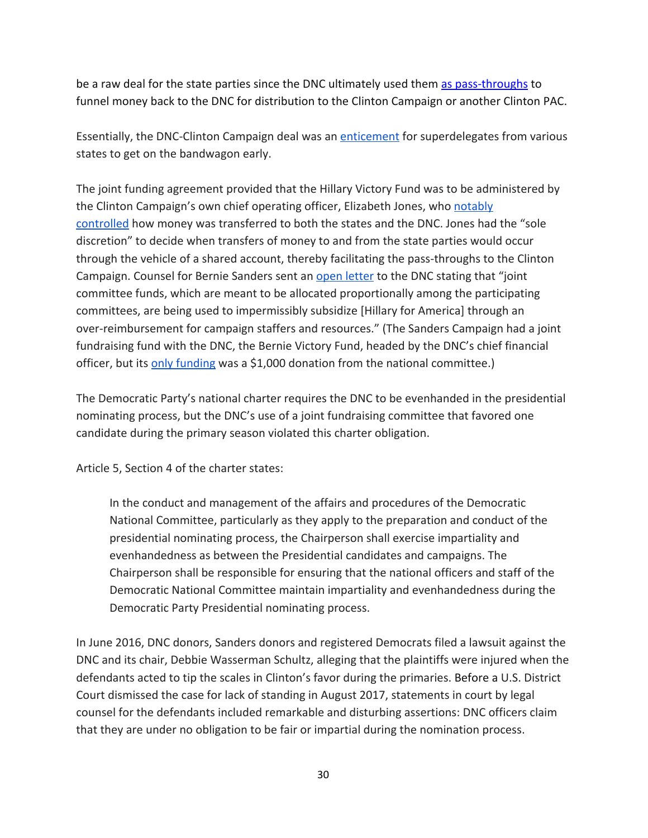be a raw deal for the state parties since the DNC ultimately used them as [pass-throughs](https://www.washingtonpost.com/politics/democratic-party-fundraising-effort-helps-clinton-find-new-donors-too/2016/02/19/b8535cea-d68f-11e5-b195-2e29a4e13425_story.html?utm_term=.07217dc62800) to funnel money back to the DNC for distribution to the Clinton Campaign or another Clinton PAC.

Essentially, the DNC-Clinton Campaign deal was an [enticement](https://www.dailykos.com/stories/2016/4/16/1516225/--Anatomy-of-a-Victory-Fund-or-How-to-Buy-a-Super-delegate) for superdelegates from various states to get on the bandwagon early.

The joint funding agreement provided that the Hillary Victory Fund was to be administered by the Clinton Campaign's own chief operating officer, Elizabeth Jones, who [notably](https://www.washingtonpost.com/politics/democratic-party-fundraising-effort-helps-clinton-find-new-donors-too/2016/02/19/b8535cea-d68f-11e5-b195-2e29a4e13425_story.html) [controlled](https://www.washingtonpost.com/politics/democratic-party-fundraising-effort-helps-clinton-find-new-donors-too/2016/02/19/b8535cea-d68f-11e5-b195-2e29a4e13425_story.html) how money was transferred to both the states and the DNC. Jones had the "sole discretion" to decide when transfers of money to and from the state parties would occur through the vehicle of a shared account, thereby facilitating the pass-throughs to the Clinton Campaign. Counsel for Bernie Sanders sent an open [letter](https://berniesanders.com/wp-content/uploads/2016/04/Bernie-2016-Letter-to-DNC-1.pdf) to the DNC stating that "joint committee funds, which are meant to be allocated proportionally among the participating committees, are being used to impermissibly subsidize [Hillary for America] through an over-reimbursement for campaign staffers and resources." (The Sanders Campaign had a joint fundraising fund with the DNC, the Bernie Victory Fund, headed by the DNC's chief financial officer, but its only [funding](https://www.fec.gov/data/committee/C00592568/) was a \$1,000 donation from the national committee.)

The Democratic Party's national charter requires the DNC to be evenhanded in the presidential nominating process, but the DNC's use of a joint fundraising committee that favored one candidate during the primary season violated this charter obligation.

Article 5, Section 4 of the charter states:

In the conduct and management of the affairs and procedures of the Democratic National Committee, particularly as they apply to the preparation and conduct of the presidential nominating process, the Chairperson shall exercise impartiality and evenhandedness as between the Presidential candidates and campaigns. The Chairperson shall be responsible for ensuring that the national officers and staff of the Democratic National Committee maintain impartiality and evenhandedness during the Democratic Party Presidential nominating process.

In June 2016, DNC donors, Sanders donors and registered Democrats filed a lawsuit against the DNC and its chair, Debbie Wasserman Schultz, alleging that the plaintiffs were injured when the defendants acted to tip the scales in Clinton's favor during the primaries. Before a U.S. District Court dismissed the case for lack of standing in August 2017, statements in court by legal counsel for the defendants included remarkable and disturbing assertions: DNC officers claim that they are under no obligation to be fair or impartial during the nomination process.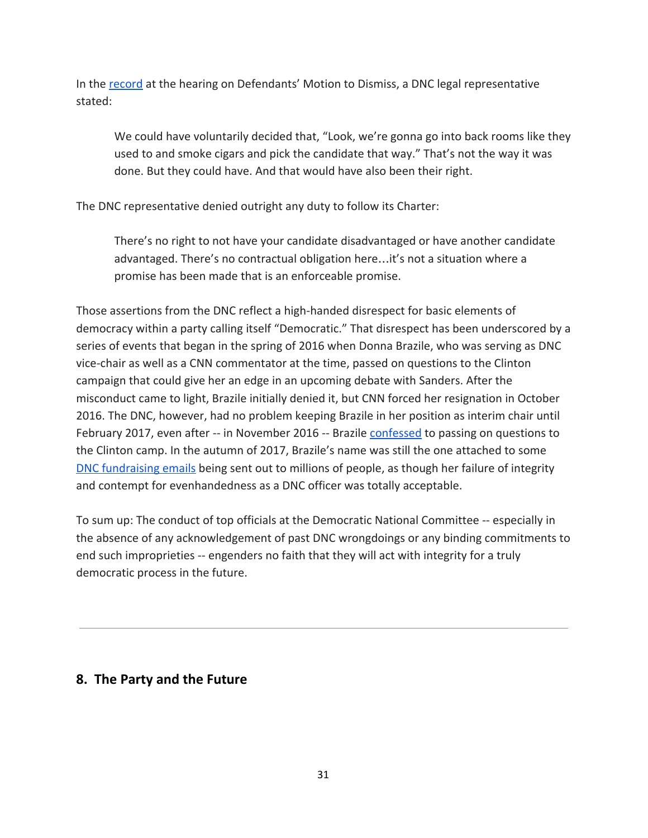In the [record](http://jampac.us/wp-content/uploads/2016/07/042517cw2.pdf) at the hearing on Defendants' Motion to Dismiss, a DNC legal representative stated:

We could have voluntarily decided that, "Look, we're gonna go into back rooms like they used to and smoke cigars and pick the candidate that way." That's not the way it was done. But they could have. And that would have also been their right.

The DNC representative denied outright any duty to follow its Charter:

There's no right to not have your candidate disadvantaged or have another candidate advantaged. There's no contractual obligation here…it's not a situation where a promise has been made that is an enforceable promise.

Those assertions from the DNC reflect a high-handed disrespect for basic elements of democracy within a party calling itself "Democratic." That disrespect has been underscored by a series of events that began in the spring of 2016 when Donna Brazile, who was serving as DNC vice-chair as well as a CNN commentator at the time, passed on questions to the Clinton campaign that could give her an edge in an upcoming debate with Sanders. After the misconduct came to light, Brazile initially denied it, but CNN forced her resignation in October 2016. The DNC, however, had no problem keeping Brazile in her position as interim chair until February 2017, even after -- in November 2016 -- Brazile [confessed](http://www.salon.com/2016/11/10/donna-brazile-im-only-sorry-i-got-caught-cheating-with-debate-questions/) to passing on questions to the Clinton camp. In the autumn of 2017, Brazile's name was still the one attached to some DNC [fundraising](http://www.salon.com/2017/07/15/why-is-donna-brazile-still-emailing-me-the-tone-deaf-dnc-has-no-credibility/) emails being sent out to millions of people, as though her failure of integrity and contempt for evenhandedness as a DNC officer was totally acceptable.

To sum up: The conduct of top officials at the Democratic National Committee -- especially in the absence of any acknowledgement of past DNC wrongdoings or any binding commitments to end such improprieties -- engenders no faith that they will act with integrity for a truly democratic process in the future.

# **8. The Party and the Future**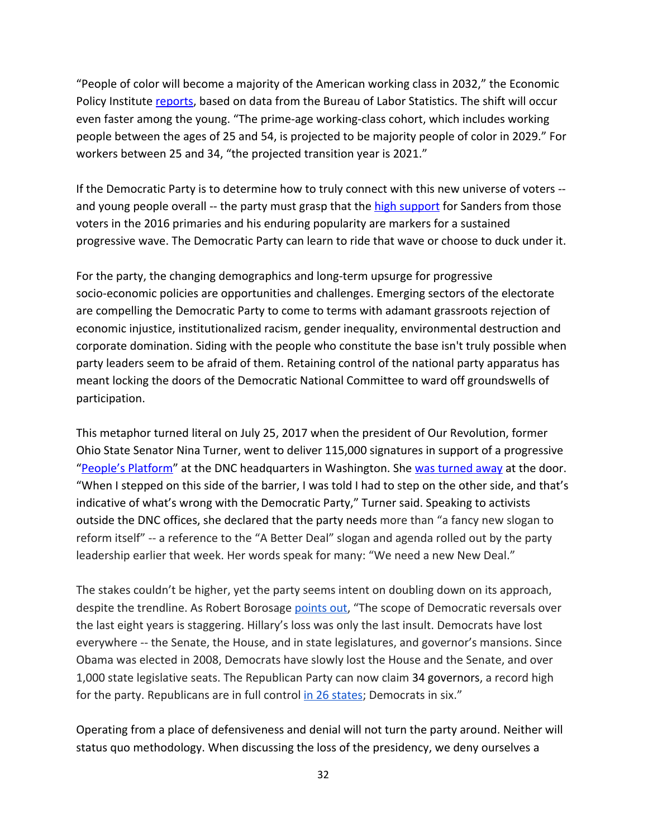"People of color will become a majority of the American working class in 2032," the Economic Policy Institute [reports,](http://www.epi.org/publication/the-changing-demographics-of-americas-working-class/) based on data from the Bureau of Labor Statistics. The shift will occur even faster among the young. "The prime-age working-class cohort, which includes working people between the ages of 25 and 54, is projected to be majority people of color in 2029." For workers between 25 and 34, "the projected transition year is 2021."

If the Democratic Party is to determine how to truly connect with this new universe of voters - and young people overall -- the party must grasp that the high [support](https://www.washingtonpost.com/news/the-fix/wp/2016/06/20/more-young-people-voted-for-bernie-sanders-than-trump-and-clinton-combined-by-a-lot/?utm_term=.fbee78d75882) for Sanders from those voters in the 2016 primaries and his enduring popularity are markers for a sustained progressive wave. The Democratic Party can learn to ride that wave or choose to duck under it.

For the party, the changing demographics and long-term upsurge for progressive socio-economic policies are opportunities and challenges. Emerging sectors of the electorate are compelling the Democratic Party to come to terms with adamant grassroots rejection of economic injustice, institutionalized racism, gender inequality, environmental destruction and corporate domination. Siding with the people who constitute the base isn't truly possible when party leaders seem to be afraid of them. Retaining control of the national party apparatus has meant locking the doors of the Democratic National Committee to ward off groundswells of participation.

This metaphor turned literal on July 25, 2017 when the president of Our Revolution, former Ohio State Senator Nina Turner, went to deliver 115,000 signatures in support of a progressive "People's [Platform"](https://summerforprogress.com/platform) at the DNC headquarters in Washington. She was [turned](https://www.youtube.com/watch?v=CObAsBDM3zs) away at the door. "When I stepped on this side of the barrier, I was told I had to step on the other side, and that's indicative of what's wrong with the Democratic Party," Turner said. Speaking to activists outside the DNC offices, she declared that the party needs more than "a fancy new slogan to reform itself" -- a reference to the "A Better Deal" slogan and agenda rolled out by the party leadership earlier that week. Her words speak for many: "We need a new New Deal."

The stakes couldn't be higher, yet the party seems intent on doubling down on its approach, despite the trendline. As Robert Borosage [points](https://www.thenation.com/article/democrats-are-fighting-amongst-themselves-and-thats-okay/) out, "The scope of Democratic reversals over the last eight years is staggering. Hillary's loss was only the last insult. Democrats have lost everywhere -- the Senate, the House, and in state legislatures, and governor's mansions. Since Obama was elected in 2008, Democrats have slowly lost the House and the Senate, and over 1,000 state legislative seats. The Republican Party can now claim 34 governors, a record high for the party. Republicans are in full control in 26 [states;](https://www.washingtonpost.com/news/the-fix/wp/2017/08/03/west-virginias-governor-is-switching-parties-and-democrats-just-hit-a-new-low/?utm_term=.ec58d6b749ee) Democrats in six."

Operating from a place of defensiveness and denial will not turn the party around. Neither will status quo methodology. When discussing the loss of the presidency, we deny ourselves a